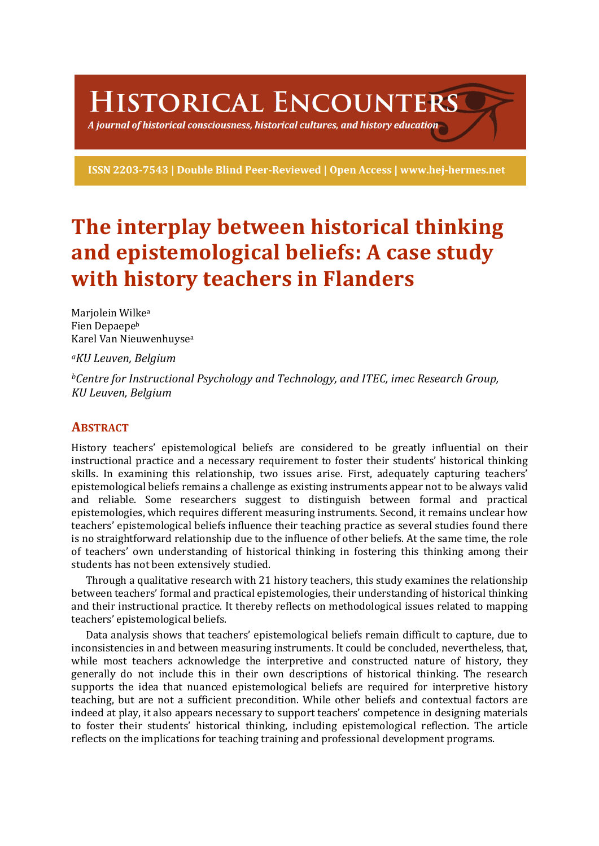# HISTORICAL ENCOUNTERS

A journal of historical consciousness, historical cultures, and history education  $\geq$ 

ISSN 2203-7543 | Double Blind Peer-Reviewed | Open Access | www.hej-hermes.net

## **The interplay between historical thinking** and epistemological beliefs: A case study **with history teachers in Flanders**

Marjolein Wilke<sup>a</sup> Fien Depaepe<sup>b</sup> Karel Van Nieuwenhuyse<sup>a</sup>

*aKU Leuven, Belgium*

*bCentre for Instructional Psychology and Technology, and ITEC, imec Research Group, KU Leuven, Belgium*

## **ABSTRACT**

History teachers' epistemological beliefs are considered to be greatly influential on their instructional practice and a necessary requirement to foster their students' historical thinking skills. In examining this relationship, two issues arise. First, adequately capturing teachers' epistemological beliefs remains a challenge as existing instruments appear not to be always valid and reliable. Some researchers suggest to distinguish between formal and practical epistemologies, which requires different measuring instruments. Second, it remains unclear how teachers' epistemological beliefs influence their teaching practice as several studies found there is no straightforward relationship due to the influence of other beliefs. At the same time, the role of teachers' own understanding of historical thinking in fostering this thinking among their students has not been extensively studied.

Through a qualitative research with 21 history teachers, this study examines the relationship between teachers' formal and practical epistemologies, their understanding of historical thinking and their instructional practice. It thereby reflects on methodological issues related to mapping teachers' epistemological beliefs.

Data analysis shows that teachers' epistemological beliefs remain difficult to capture, due to inconsistencies in and between measuring instruments. It could be concluded, nevertheless, that, while most teachers acknowledge the interpretive and constructed nature of history, they generally do not include this in their own descriptions of historical thinking. The research supports the idea that nuanced epistemological beliefs are required for interpretive history teaching, but are not a sufficient precondition. While other beliefs and contextual factors are indeed at play, it also appears necessary to support teachers' competence in designing materials to foster their students' historical thinking, including epistemological reflection. The article reflects on the implications for teaching training and professional development programs.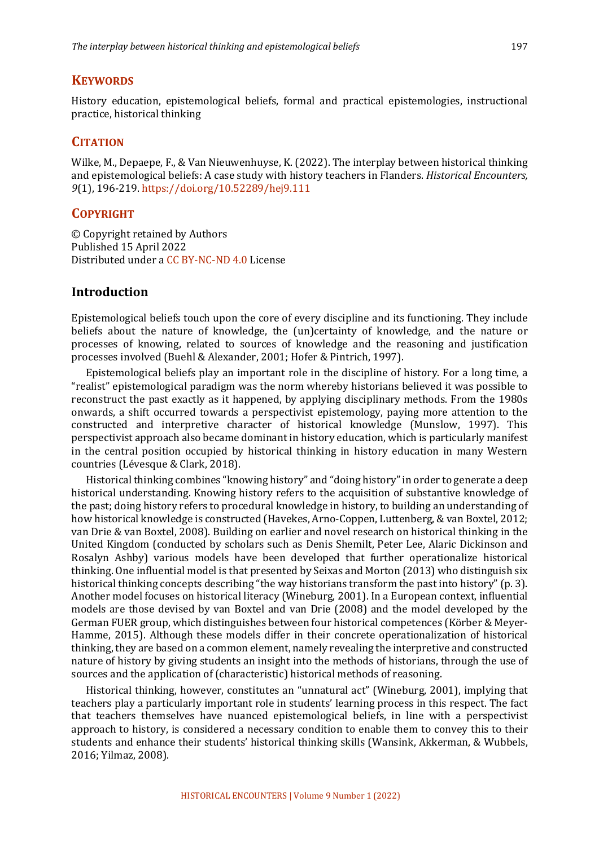#### **KEYWORDS**

History education, epistemological beliefs, formal and practical epistemologies, instructional practice, historical thinking

#### **CITATION**

Wilke, M., Depaepe, F., & Van Nieuwenhuyse, K. (2022). The interplay between historical thinking and epistemological beliefs: A case study with history teachers in Flanders. *Historical Encounters*, *9*(1), 196-219. https://doi.org/10.52289/hej9.111

#### **COPYRIGHT**

© Copyright retained by Authors Published 15 April 2022 Distributed under a CC BY-NC-ND 4.0 License

## **Introduction**

Epistemological beliefs touch upon the core of every discipline and its functioning. They include beliefs about the nature of knowledge, the (un)certainty of knowledge, and the nature or processes of knowing, related to sources of knowledge and the reasoning and justification processes involved (Buehl & Alexander, 2001; Hofer & Pintrich, 1997).

Epistemological beliefs play an important role in the discipline of history. For a long time, a "realist" epistemological paradigm was the norm whereby historians believed it was possible to reconstruct the past exactly as it happened, by applying disciplinary methods. From the 1980s onwards, a shift occurred towards a perspectivist epistemology, paying more attention to the constructed and interpretive character of historical knowledge (Munslow, 1997). This perspectivist approach also became dominant in history education, which is particularly manifest in the central position occupied by historical thinking in history education in many Western countries (Lévesque & Clark, 2018).

Historical thinking combines "knowing history" and "doing history" in order to generate a deep historical understanding. Knowing history refers to the acquisition of substantive knowledge of the past; doing history refers to procedural knowledge in history, to building an understanding of how historical knowledge is constructed (Havekes, Arno-Coppen, Luttenberg, & van Boxtel, 2012; van Drie & van Boxtel, 2008). Building on earlier and novel research on historical thinking in the United Kingdom (conducted by scholars such as Denis Shemilt, Peter Lee, Alaric Dickinson and Rosalyn Ashby) various models have been developed that further operationalize historical thinking. One influential model is that presented by Seixas and Morton (2013) who distinguish six historical thinking concepts describing "the way historians transform the past into history"  $(p, 3)$ . Another model focuses on historical literacy (Wineburg, 2001). In a European context, influential models are those devised by van Boxtel and van Drie (2008) and the model developed by the German FUER group, which distinguishes between four historical competences (Körber & Meyer-Hamme, 2015). Although these models differ in their concrete operationalization of historical thinking, they are based on a common element, namely revealing the interpretive and constructed nature of history by giving students an insight into the methods of historians, through the use of sources and the application of (characteristic) historical methods of reasoning.

Historical thinking, however, constitutes an "unnatural act" (Wineburg, 2001), implying that teachers play a particularly important role in students' learning process in this respect. The fact that teachers themselves have nuanced epistemological beliefs, in line with a perspectivist approach to history, is considered a necessary condition to enable them to convey this to their students and enhance their students' historical thinking skills (Wansink, Akkerman, & Wubbels, 2016; Yilmaz, 2008).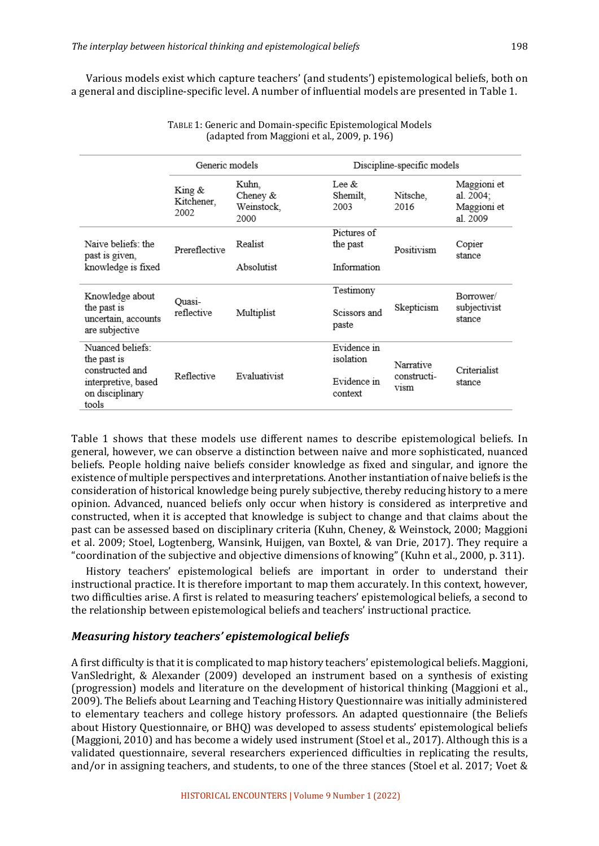Various models exist which capture teachers' (and students') epistemological beliefs, both on a general and discipline-specific level. A number of influential models are presented in Table 1.

|                                                                    | Generic models               |                                           | Discipline-specific models   |                                         |                                                     |
|--------------------------------------------------------------------|------------------------------|-------------------------------------------|------------------------------|-----------------------------------------|-----------------------------------------------------|
|                                                                    | King &<br>Kitchener,<br>2002 | Kuhn,<br>Cheney $&$<br>Weinstock,<br>2000 | Lee $\&$<br>Shemilt,<br>2003 | Nitsche,<br>2016                        | Maggioni et<br>al. 2004;<br>Maggioni et<br>al. 2009 |
| Naive beliefs: the<br>past is given,                               | Prereflective                | Realist                                   | Pictures of<br>the past      | Positivism                              | Copier<br>stance                                    |
| knowledge is fixed                                                 |                              | Absolutist                                | Information                  |                                         |                                                     |
| Knowledge about                                                    |                              |                                           | Testimony                    |                                         | Borrower/<br>subjectivist<br>stance                 |
| the past is<br>uncertain, accounts<br>are subjective               | Ouasi-<br>reflective         | Multiplist                                | Scissors and<br>paste        | Skepticism                              |                                                     |
| Nuanced beliefs:<br>the past is                                    |                              |                                           | Evidence in<br>isolation     |                                         |                                                     |
| constructed and<br>interpretive, based<br>on disciplinary<br>tools | Reflective                   | Evaluativist                              | Evidence in<br>context       | Narrative<br>constructi-<br><b>V1SM</b> | Criterialist<br>stance                              |

TABLE 1: Generic and Domain-specific Epistemological Models (adapted from Maggioni et al., 2009, p. 196)

Table 1 shows that these models use different names to describe epistemological beliefs. In general, however, we can observe a distinction between naive and more sophisticated, nuanced beliefs. People holding naive beliefs consider knowledge as fixed and singular, and ignore the existence of multiple perspectives and interpretations. Another instantiation of naive beliefs is the consideration of historical knowledge being purely subjective, thereby reducing history to a mere opinion. Advanced, nuanced beliefs only occur when history is considered as interpretive and constructed, when it is accepted that knowledge is subject to change and that claims about the past can be assessed based on disciplinary criteria (Kuhn, Cheney, & Weinstock, 2000; Maggioni et al. 2009; Stoel, Logtenberg, Wansink, Huijgen, van Boxtel, & van Drie, 2017). They require a "coordination of the subjective and objective dimensions of knowing" (Kuhn et al., 2000, p. 311).

History teachers' epistemological beliefs are important in order to understand their instructional practice. It is therefore important to map them accurately. In this context, however, two difficulties arise. A first is related to measuring teachers' epistemological beliefs, a second to the relationship between epistemological beliefs and teachers' instructional practice.

#### *Measuring history teachers' epistemological beliefs*

A first difficulty is that it is complicated to map history teachers' epistemological beliefs. Maggioni, VanSledright, & Alexander (2009) developed an instrument based on a synthesis of existing (progression) models and literature on the development of historical thinking (Maggioni et al., 2009). The Beliefs about Learning and Teaching History Questionnaire was initially administered to elementary teachers and college history professors. An adapted questionnaire (the Beliefs about History Questionnaire, or BHQ) was developed to assess students' epistemological beliefs (Maggioni, 2010) and has become a widely used instrument (Stoel et al., 2017). Although this is a validated questionnaire, several researchers experienced difficulties in replicating the results, and/or in assigning teachers, and students, to one of the three stances (Stoel et al. 2017; Voet  $&$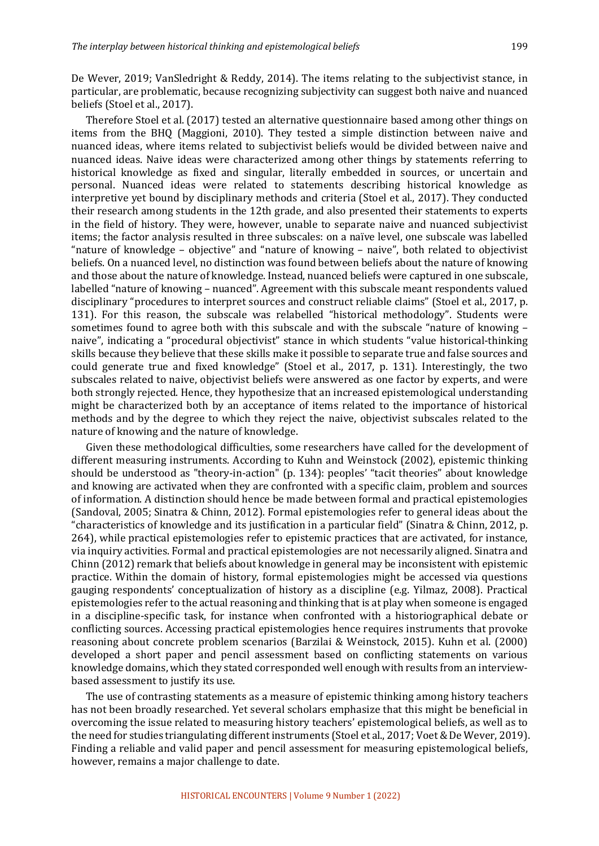De Wever, 2019; VanSledright & Reddy, 2014). The items relating to the subjectivist stance, in particular, are problematic, because recognizing subjectivity can suggest both naive and nuanced beliefs (Stoel et al., 2017).

Therefore Stoel et al. (2017) tested an alternative questionnaire based among other things on items from the BHQ (Maggioni, 2010). They tested a simple distinction between naive and nuanced ideas, where items related to subjectivist beliefs would be divided between naive and nuanced ideas. Naive ideas were characterized among other things by statements referring to historical knowledge as fixed and singular, literally embedded in sources, or uncertain and personal. Nuanced ideas were related to statements describing historical knowledge as interpretive yet bound by disciplinary methods and criteria (Stoel et al., 2017). They conducted their research among students in the 12th grade, and also presented their statements to experts in the field of history. They were, however, unable to separate naive and nuanced subjectivist items; the factor analysis resulted in three subscales: on a naïve level, one subscale was labelled "nature of knowledge – objective" and "nature of knowing – naive", both related to objectivist beliefs. On a nuanced level, no distinction was found between beliefs about the nature of knowing and those about the nature of knowledge. Instead, nuanced beliefs were captured in one subscale, labelled "nature of knowing - nuanced". Agreement with this subscale meant respondents valued disciplinary "procedures to interpret sources and construct reliable claims" (Stoel et al., 2017, p. 131). For this reason, the subscale was relabelled "historical methodology". Students were sometimes found to agree both with this subscale and with the subscale "nature of knowing naive", indicating a "procedural objectivist" stance in which students "value historical-thinking skills because they believe that these skills make it possible to separate true and false sources and could generate true and fixed knowledge" (Stoel et al., 2017, p. 131). Interestingly, the two subscales related to naive, objectivist beliefs were answered as one factor by experts, and were both strongly rejected. Hence, they hypothesize that an increased epistemological understanding might be characterized both by an acceptance of items related to the importance of historical methods and by the degree to which they reject the naive, objectivist subscales related to the nature of knowing and the nature of knowledge.

Given these methodological difficulties, some researchers have called for the development of different measuring instruments. According to Kuhn and Weinstock (2002), epistemic thinking should be understood as "theory-in-action" (p. 134): peoples' "tacit theories" about knowledge and knowing are activated when they are confronted with a specific claim, problem and sources of information. A distinction should hence be made between formal and practical epistemologies (Sandoval, 2005; Sinatra & Chinn, 2012). Formal epistemologies refer to general ideas about the "characteristics of knowledge and its justification in a particular field" (Sinatra & Chinn, 2012, p. 264), while practical epistemologies refer to epistemic practices that are activated, for instance, via inquiry activities. Formal and practical epistemologies are not necessarily aligned. Sinatra and Chinn (2012) remark that beliefs about knowledge in general may be inconsistent with epistemic practice. Within the domain of history, formal epistemologies might be accessed via questions gauging respondents' conceptualization of history as a discipline (e.g. Yilmaz, 2008). Practical epistemologies refer to the actual reasoning and thinking that is at play when someone is engaged in a discipline-specific task, for instance when confronted with a historiographical debate or conflicting sources. Accessing practical epistemologies hence requires instruments that provoke reasoning about concrete problem scenarios (Barzilai & Weinstock, 2015). Kuhn et al. (2000) developed a short paper and pencil assessment based on conflicting statements on various knowledge domains, which they stated corresponded well enough with results from an interviewbased assessment to justify its use.

The use of contrasting statements as a measure of epistemic thinking among history teachers has not been broadly researched. Yet several scholars emphasize that this might be beneficial in overcoming the issue related to measuring history teachers' epistemological beliefs, as well as to the need for studies triangulating different instruments (Stoel et al., 2017; Voet & De Wever, 2019). Finding a reliable and valid paper and pencil assessment for measuring epistemological beliefs, however, remains a major challenge to date.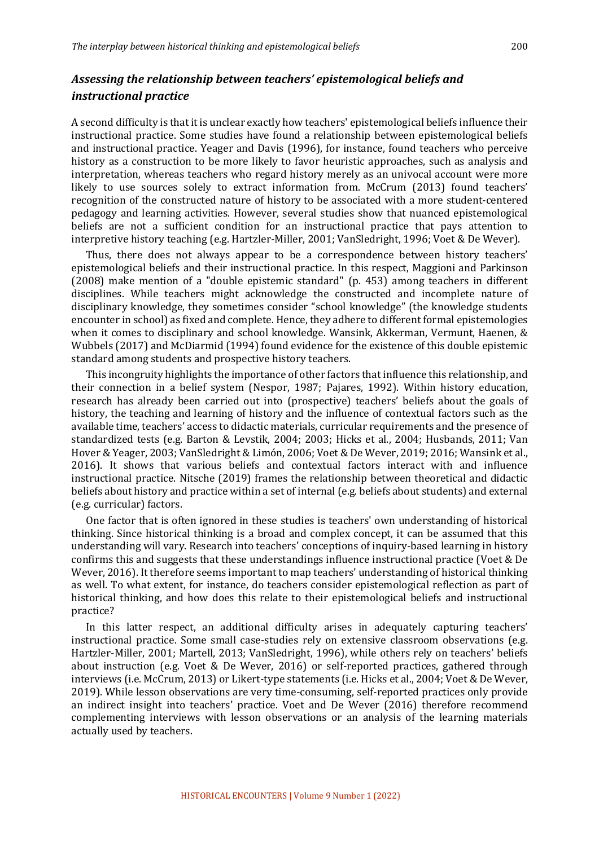## Assessing the relationship between teachers' epistemological beliefs and *instructional practice*

A second difficulty is that it is unclear exactly how teachers' epistemological beliefs influence their instructional practice. Some studies have found a relationship between epistemological beliefs and instructional practice. Yeager and Davis (1996), for instance, found teachers who perceive history as a construction to be more likely to favor heuristic approaches, such as analysis and interpretation, whereas teachers who regard history merely as an univocal account were more likely to use sources solely to extract information from. McCrum (2013) found teachers' recognition of the constructed nature of history to be associated with a more student-centered pedagogy and learning activities. However, several studies show that nuanced epistemological beliefs are not a sufficient condition for an instructional practice that pays attention to interpretive history teaching (e.g. Hartzler-Miller, 2001; VanSledright, 1996; Voet & De Wever).

Thus, there does not always appear to be a correspondence between history teachers' epistemological beliefs and their instructional practice. In this respect, Maggioni and Parkinson  $(2008)$  make mention of a "double epistemic standard" (p. 453) among teachers in different disciplines. While teachers might acknowledge the constructed and incomplete nature of disciplinary knowledge, they sometimes consider "school knowledge" (the knowledge students encounter in school) as fixed and complete. Hence, they adhere to different formal epistemologies when it comes to disciplinary and school knowledge. Wansink, Akkerman, Vermunt, Haenen,  $&$ Wubbels (2017) and McDiarmid (1994) found evidence for the existence of this double epistemic standard among students and prospective history teachers.

This incongruity highlights the importance of other factors that influence this relationship, and their connection in a belief system (Nespor, 1987; Pajares, 1992). Within history education, research has already been carried out into (prospective) teachers' beliefs about the goals of history, the teaching and learning of history and the influence of contextual factors such as the available time, teachers' access to didactic materials, curricular requirements and the presence of standardized tests (e.g. Barton & Levstik, 2004; 2003; Hicks et al., 2004; Husbands, 2011; Van Hover & Yeager, 2003; VanSledright & Limón, 2006; Voet & De Wever, 2019; 2016; Wansink et al., 2016). It shows that various beliefs and contextual factors interact with and influence instructional practice. Nitsche (2019) frames the relationship between theoretical and didactic beliefs about history and practice within a set of internal (e.g. beliefs about students) and external (e.g. curricular) factors.

One factor that is often ignored in these studies is teachers' own understanding of historical thinking. Since historical thinking is a broad and complex concept, it can be assumed that this understanding will vary. Research into teachers' conceptions of inquiry-based learning in history confirms this and suggests that these understandings influence instructional practice (Voet & De Wever, 2016). It therefore seems important to map teachers' understanding of historical thinking as well. To what extent, for instance, do teachers consider epistemological reflection as part of historical thinking, and how does this relate to their epistemological beliefs and instructional practice?

In this latter respect, an additional difficulty arises in adequately capturing teachers' instructional practice. Some small case-studies rely on extensive classroom observations (e.g. Hartzler-Miller, 2001; Martell, 2013; VanSledright, 1996), while others rely on teachers' beliefs about instruction (e.g. Voet & De Wever, 2016) or self-reported practices, gathered through interviews (i.e. McCrum, 2013) or Likert-type statements (i.e. Hicks et al., 2004; Voet & De Wever, 2019). While lesson observations are very time-consuming, self-reported practices only provide an indirect insight into teachers' practice. Voet and De Wever (2016) therefore recommend complementing interviews with lesson observations or an analysis of the learning materials actually used by teachers.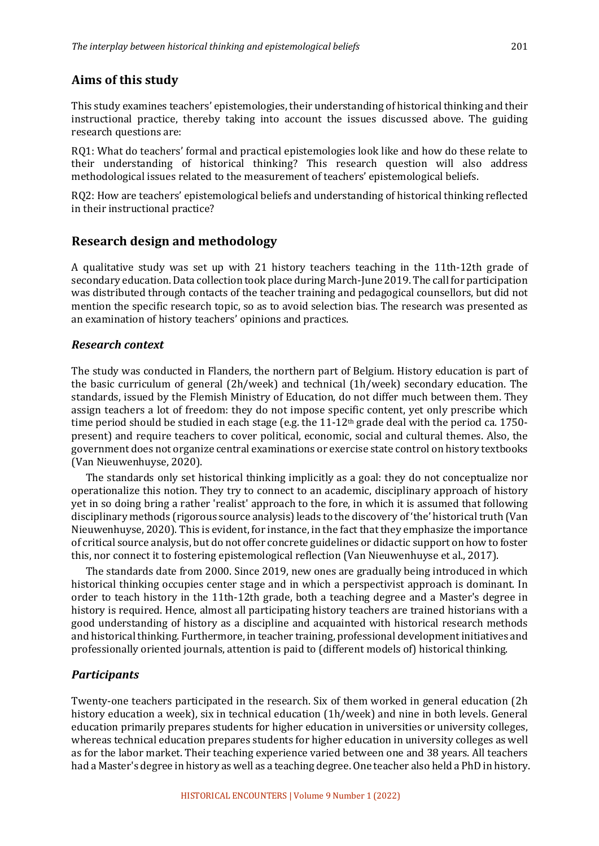## **Aims of this study**

This study examines teachers' epistemologies, their understanding of historical thinking and their instructional practice, thereby taking into account the issues discussed above. The guiding research questions are:

RQ1: What do teachers' formal and practical epistemologies look like and how do these relate to their understanding of historical thinking? This research question will also address methodological issues related to the measurement of teachers' epistemological beliefs.

RQ2: How are teachers' epistemological beliefs and understanding of historical thinking reflected in their instructional practice?

## **Research design and methodology**

A qualitative study was set up with 21 history teachers teaching in the 11th-12th grade of secondary education. Data collection took place during March-June 2019. The call for participation was distributed through contacts of the teacher training and pedagogical counsellors, but did not mention the specific research topic, so as to avoid selection bias. The research was presented as an examination of history teachers' opinions and practices.

#### *Research context*

The study was conducted in Flanders, the northern part of Belgium. History education is part of the basic curriculum of general  $(2h/week)$  and technical  $(1h/week)$  secondary education. The standards, issued by the Flemish Ministry of Education, do not differ much between them. They assign teachers a lot of freedom: they do not impose specific content, yet only prescribe which time period should be studied in each stage (e.g. the  $11-12$ <sup>th</sup> grade deal with the period ca. 1750present) and require teachers to cover political, economic, social and cultural themes. Also, the government does not organize central examinations or exercise state control on history textbooks (Van Nieuwenhuyse, 2020).

The standards only set historical thinking implicitly as a goal: they do not conceptualize nor operationalize this notion. They try to connect to an academic, disciplinary approach of history yet in so doing bring a rather 'realist' approach to the fore, in which it is assumed that following disciplinary methods (rigorous source analysis) leads to the discovery of 'the' historical truth (Van Nieuwenhuyse, 2020). This is evident, for instance, in the fact that they emphasize the importance of critical source analysis, but do not offer concrete guidelines or didactic support on how to foster this, nor connect it to fostering epistemological reflection (Van Nieuwenhuyse et al., 2017).

The standards date from 2000. Since 2019, new ones are gradually being introduced in which historical thinking occupies center stage and in which a perspectivist approach is dominant. In order to teach history in the 11th-12th grade, both a teaching degree and a Master's degree in history is required. Hence, almost all participating history teachers are trained historians with a good understanding of history as a discipline and acquainted with historical research methods and historical thinking. Furthermore, in teacher training, professional development initiatives and professionally oriented journals, attention is paid to (different models of) historical thinking.

## *Participants*

Twenty-one teachers participated in the research. Six of them worked in general education (2h) history education a week), six in technical education (1h/week) and nine in both levels. General education primarily prepares students for higher education in universities or university colleges, whereas technical education prepares students for higher education in university colleges as well as for the labor market. Their teaching experience varied between one and 38 years. All teachers had a Master's degree in history as well as a teaching degree. One teacher also held a PhD in history.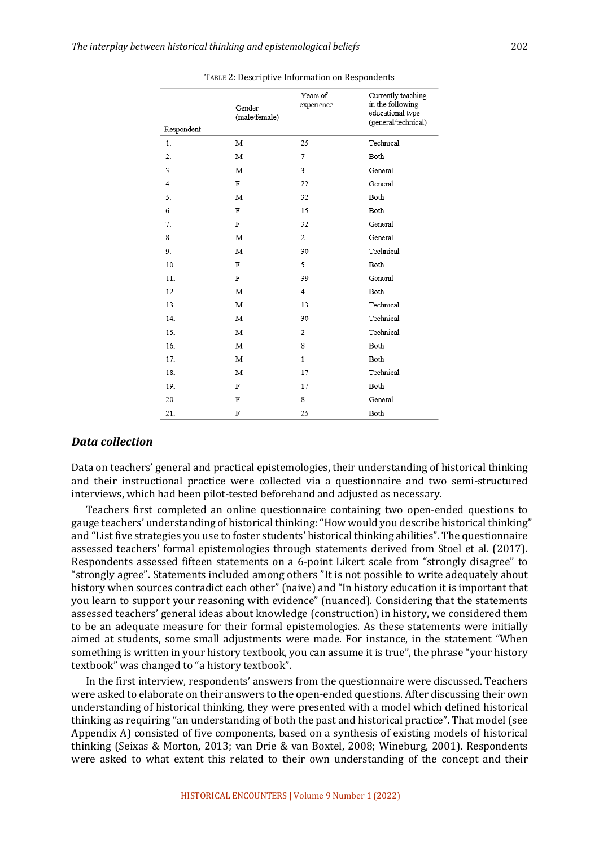| Respondent | Gender<br>(male/female) | Years of<br>experience | Currently teaching<br>in the following<br>educational type<br>(general/technical) |
|------------|-------------------------|------------------------|-----------------------------------------------------------------------------------|
| 1.         | М                       | 25                     | Technical                                                                         |
| 2.         | М                       | 7                      | Both                                                                              |
| 3.         | М                       | 3                      | General                                                                           |
| 4.         | F                       | 22                     | General                                                                           |
| 5.         | М                       | 32                     | Both                                                                              |
| 6.         | F                       | 15                     | Both                                                                              |
| 7.         | F                       | 32                     | General                                                                           |
| 8.         | М                       | $\overline{c}$         | General                                                                           |
| 9.         | М                       | 30                     | Technical                                                                         |
| 10.        | F                       | 5                      | Both                                                                              |
| 11.        | F                       | 39                     | General                                                                           |
| 12.        | М                       | 4                      | Both                                                                              |
| 13.        | М                       | 13                     | Technical                                                                         |
| 14.        | М                       | 30                     | Technical                                                                         |
| 15.        | М                       | 2                      | Technical                                                                         |
| 16.        | М                       | 8                      | Both                                                                              |
| 17.        | М                       | $\mathbf{1}$           | Both                                                                              |
| 18.        | М                       | 17                     | Technical                                                                         |
| 19.        | F                       | 17                     | Both                                                                              |
| 20.        | F                       | 8                      | General                                                                           |
| 21.        | F                       | 25                     | Both                                                                              |

#### TABLE 2: Descriptive Information on Respondents

#### *Data collection*

Data on teachers' general and practical epistemologies, their understanding of historical thinking and their instructional practice were collected via a questionnaire and two semi-structured interviews, which had been pilot-tested beforehand and adjusted as necessary.

Teachers first completed an online questionnaire containing two open-ended questions to gauge teachers' understanding of historical thinking: "How would you describe historical thinking" and "List five strategies you use to foster students' historical thinking abilities". The questionnaire assessed teachers' formal epistemologies through statements derived from Stoel et al. (2017). Respondents assessed fifteen statements on a 6-point Likert scale from "strongly disagree" to "strongly agree". Statements included among others "It is not possible to write adequately about history when sources contradict each other" (naive) and "In history education it is important that you learn to support your reasoning with evidence" (nuanced). Considering that the statements assessed teachers' general ideas about knowledge (construction) in history, we considered them to be an adequate measure for their formal epistemologies. As these statements were initially aimed at students, some small adjustments were made. For instance, in the statement "When something is written in your history textbook, you can assume it is true", the phrase "your history textbook" was changed to "a history textbook".

In the first interview, respondents' answers from the questionnaire were discussed. Teachers were asked to elaborate on their answers to the open-ended questions. After discussing their own understanding of historical thinking, they were presented with a model which defined historical thinking as requiring "an understanding of both the past and historical practice". That model (see Appendix  $A$ ) consisted of five components, based on a synthesis of existing models of historical thinking (Seixas & Morton, 2013; van Drie & van Boxtel, 2008; Wineburg, 2001). Respondents were asked to what extent this related to their own understanding of the concept and their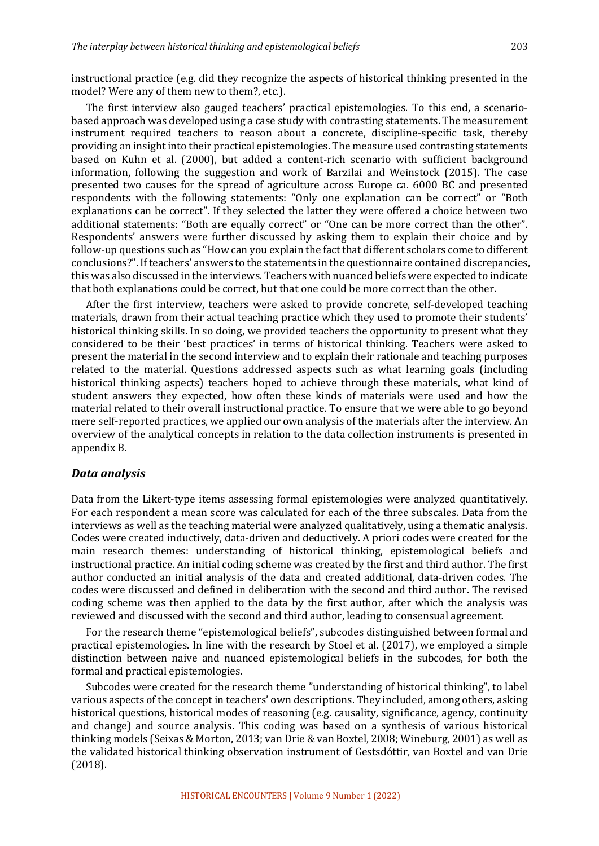instructional practice  $(e.g.$  did they recognize the aspects of historical thinking presented in the model? Were any of them new to them?, etc.).

The first interview also gauged teachers' practical epistemologies. To this end, a scenariobased approach was developed using a case study with contrasting statements. The measurement instrument required teachers to reason about a concrete, discipline-specific task, thereby providing an insight into their practical epistemologies. The measure used contrasting statements based on Kuhn et al. (2000), but added a content-rich scenario with sufficient background information, following the suggestion and work of Barzilai and Weinstock  $(2015)$ . The case presented two causes for the spread of agriculture across Europe ca. 6000 BC and presented respondents with the following statements: "Only one explanation can be correct" or "Both explanations can be correct". If they selected the latter they were offered a choice between two additional statements: "Both are equally correct" or "One can be more correct than the other". Respondents' answers were further discussed by asking them to explain their choice and by follow-up questions such as "How can you explain the fact that different scholars come to different conclusions?". If teachers' answers to the statements in the questionnaire contained discrepancies, this was also discussed in the interviews. Teachers with nuanced beliefs were expected to indicate that both explanations could be correct, but that one could be more correct than the other.

After the first interview, teachers were asked to provide concrete, self-developed teaching materials, drawn from their actual teaching practice which they used to promote their students' historical thinking skills. In so doing, we provided teachers the opportunity to present what they considered to be their 'best practices' in terms of historical thinking. Teachers were asked to present the material in the second interview and to explain their rationale and teaching purposes related to the material. Questions addressed aspects such as what learning goals (including historical thinking aspects) teachers hoped to achieve through these materials, what kind of student answers they expected, how often these kinds of materials were used and how the material related to their overall instructional practice. To ensure that we were able to go beyond mere self-reported practices, we applied our own analysis of the materials after the interview. An overview of the analytical concepts in relation to the data collection instruments is presented in appendix B. 

#### *Data analysis*

Data from the Likert-type items assessing formal epistemologies were analyzed quantitatively. For each respondent a mean score was calculated for each of the three subscales. Data from the interviews as well as the teaching material were analyzed qualitatively, using a thematic analysis. Codes were created inductively, data-driven and deductively. A priori codes were created for the main research themes: understanding of historical thinking, epistemological beliefs and instructional practice. An initial coding scheme was created by the first and third author. The first author conducted an initial analysis of the data and created additional, data-driven codes. The codes were discussed and defined in deliberation with the second and third author. The revised coding scheme was then applied to the data by the first author, after which the analysis was reviewed and discussed with the second and third author, leading to consensual agreement.

For the research theme "epistemological beliefs", subcodes distinguished between formal and practical epistemologies. In line with the research by Stoel et al. (2017), we employed a simple distinction between naive and nuanced epistemological beliefs in the subcodes, for both the formal and practical epistemologies.

Subcodes were created for the research theme "understanding of historical thinking", to label various aspects of the concept in teachers' own descriptions. They included, among others, asking historical questions, historical modes of reasoning (e.g. causality, significance, agency, continuity and change) and source analysis. This coding was based on a synthesis of various historical thinking models (Seixas & Morton, 2013; van Drie & van Boxtel, 2008; Wineburg, 2001) as well as the validated historical thinking observation instrument of Gestsdóttir, van Boxtel and van Drie (2018).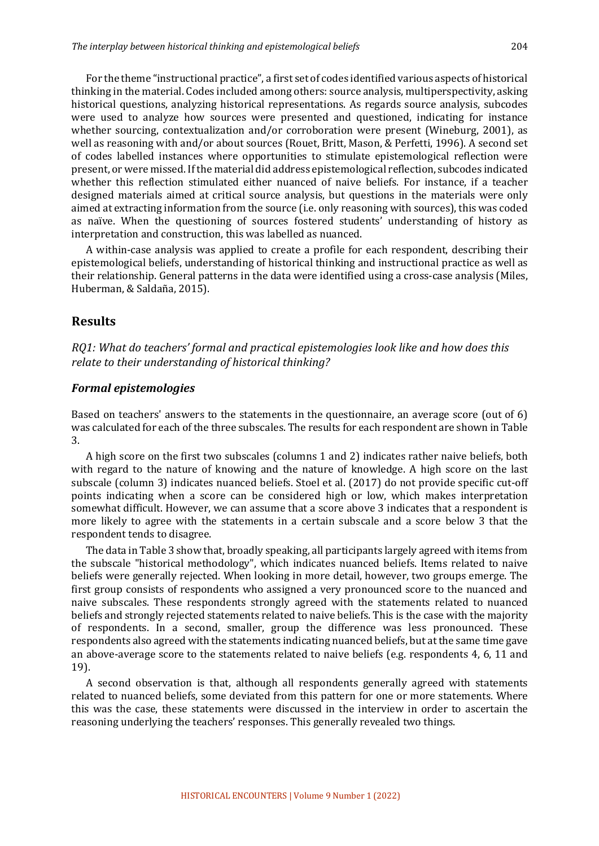For the theme "instructional practice", a first set of codes identified various aspects of historical thinking in the material. Codes included among others: source analysis, multiperspectivity, asking historical questions, analyzing historical representations. As regards source analysis, subcodes were used to analyze how sources were presented and questioned, indicating for instance whether sourcing, contextualization and/or corroboration were present (Wineburg, 2001), as well as reasoning with and/or about sources (Rouet, Britt, Mason, & Perfetti, 1996). A second set of codes labelled instances where opportunities to stimulate epistemological reflection were present, or were missed. If the material did address epistemological reflection, subcodes indicated whether this reflection stimulated either nuanced of naive beliefs. For instance, if a teacher designed materials aimed at critical source analysis, but questions in the materials were only aimed at extracting information from the source (i.e. only reasoning with sources), this was coded as naïve. When the questioning of sources fostered students' understanding of history as interpretation and construction, this was labelled as nuanced.

A within-case analysis was applied to create a profile for each respondent, describing their epistemological beliefs, understanding of historical thinking and instructional practice as well as their relationship. General patterns in the data were identified using a cross-case analysis (Miles, Huberman, & Saldaña, 2015).

## **Results**

*RQ1:* What do teachers' formal and practical epistemologies look like and how does this relate to their understanding of historical thinking?

#### *Formal epistemologies*

Based on teachers' answers to the statements in the questionnaire, an average score (out of  $6$ ) was calculated for each of the three subscales. The results for each respondent are shown in Table 3.

A high score on the first two subscales (columns 1 and 2) indicates rather naive beliefs, both with regard to the nature of knowing and the nature of knowledge. A high score on the last subscale (column 3) indicates nuanced beliefs. Stoel et al. (2017) do not provide specific cut-off points indicating when a score can be considered high or low, which makes interpretation somewhat difficult. However, we can assume that a score above 3 indicates that a respondent is more likely to agree with the statements in a certain subscale and a score below 3 that the respondent tends to disagree.

The data in Table 3 show that, broadly speaking, all participants largely agreed with items from the subscale "historical methodology", which indicates nuanced beliefs. Items related to naive beliefs were generally rejected. When looking in more detail, however, two groups emerge. The first group consists of respondents who assigned a very pronounced score to the nuanced and naive subscales. These respondents strongly agreed with the statements related to nuanced beliefs and strongly rejected statements related to naive beliefs. This is the case with the majority of respondents. In a second, smaller, group the difference was less pronounced. These respondents also agreed with the statements indicating nuanced beliefs, but at the same time gave an above-average score to the statements related to naive beliefs (e.g. respondents  $4, 6, 11$  and 19). 

A second observation is that, although all respondents generally agreed with statements related to nuanced beliefs, some deviated from this pattern for one or more statements. Where this was the case, these statements were discussed in the interview in order to ascertain the reasoning underlying the teachers' responses. This generally revealed two things.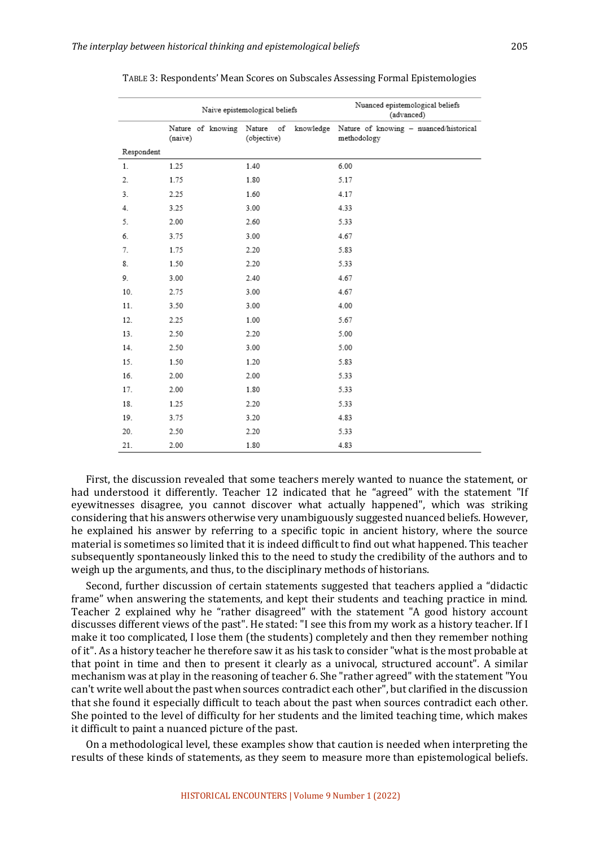|            |         | Naive epistemological beliefs | Nuanced epistemological beliefs<br>(advanced)                                               |
|------------|---------|-------------------------------|---------------------------------------------------------------------------------------------|
|            | (naive) | (objective)                   | Nature of knowing Nature of knowledge Nature of knowing - nuanced/historical<br>methodology |
| Respondent |         |                               |                                                                                             |
| 1.         | 1.25    | 1.40                          | 6.00                                                                                        |
| 2.         | 1.75    | 1.80                          | 5.17                                                                                        |
| 3.         | 2.25    | 1.60                          | 4.17                                                                                        |
| 4.         | 3.25    | 3.00                          | 4.33                                                                                        |
| 5.         | 2.00    | 2.60                          | 5.33                                                                                        |
| 6.         | 3.75    | 3.00                          | 4.67                                                                                        |
| 7.         | 1.75    | 2.20                          | 5.83                                                                                        |
| 8.         | 1.50    | 2.20                          | 5.33                                                                                        |
| 9.         | 3.00    | 2.40                          | 4.67                                                                                        |
| 10.        | 2.75    | 3.00                          | 4.67                                                                                        |
| 11.        | 3.50    | 3.00                          | 4.00                                                                                        |
| 12.        | 2.25    | 1.00                          | 5.67                                                                                        |
| 13.        | 2.50    | 2.20                          | 5.00                                                                                        |
| 14.        | 2.50    | 3.00                          | 5.00                                                                                        |
| 15.        | 1.50    | 1.20                          | 5.83                                                                                        |
| 16.        | 2.00    | 2.00                          | 5.33                                                                                        |
| 17.        | 2.00    | 1.80                          | 5.33                                                                                        |
| 18.        | 1.25    | 2.20                          | 5.33                                                                                        |
| 19.        | 3.75    | 3.20                          | 4.83                                                                                        |
| 20.        | 2.50    | 2.20                          | 5.33                                                                                        |
| 21.        | 2.00    | 1.80                          | 4.83                                                                                        |

| TABLE 3: Respondents' Mean Scores on Subscales Assessing Formal Epistemologies |  |  |  |
|--------------------------------------------------------------------------------|--|--|--|
|                                                                                |  |  |  |

First, the discussion revealed that some teachers merely wanted to nuance the statement, or had understood it differently. Teacher 12 indicated that he "agreed" with the statement "If eyewitnesses disagree, you cannot discover what actually happened", which was striking considering that his answers otherwise very unambiguously suggested nuanced beliefs. However, he explained his answer by referring to a specific topic in ancient history, where the source material is sometimes so limited that it is indeed difficult to find out what happened. This teacher subsequently spontaneously linked this to the need to study the credibility of the authors and to weigh up the arguments, and thus, to the disciplinary methods of historians.

Second, further discussion of certain statements suggested that teachers applied a "didactic frame" when answering the statements, and kept their students and teaching practice in mind. Teacher 2 explained why he "rather disagreed" with the statement "A good history account discusses different views of the past". He stated: "I see this from my work as a history teacher. If I make it too complicated, I lose them (the students) completely and then they remember nothing of it". As a history teacher he therefore saw it as his task to consider "what is the most probable at that point in time and then to present it clearly as a univocal, structured account". A similar mechanism was at play in the reasoning of teacher 6. She "rather agreed" with the statement "You can't write well about the past when sources contradict each other", but clarified in the discussion that she found it especially difficult to teach about the past when sources contradict each other. She pointed to the level of difficulty for her students and the limited teaching time, which makes it difficult to paint a nuanced picture of the past.

On a methodological level, these examples show that caution is needed when interpreting the results of these kinds of statements, as they seem to measure more than epistemological beliefs.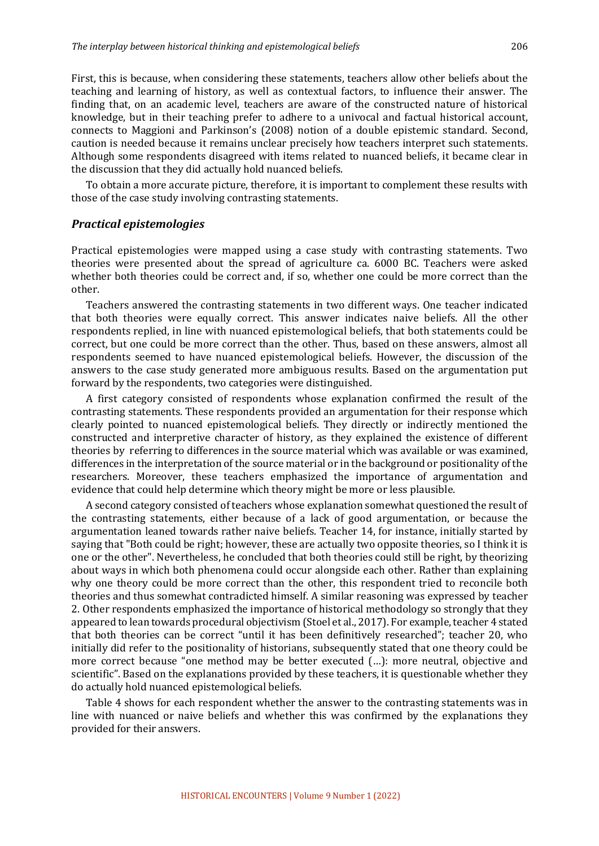First, this is because, when considering these statements, teachers allow other beliefs about the teaching and learning of history, as well as contextual factors, to influence their answer. The finding that, on an academic level, teachers are aware of the constructed nature of historical knowledge, but in their teaching prefer to adhere to a univocal and factual historical account, connects to Maggioni and Parkinson's (2008) notion of a double epistemic standard. Second, caution is needed because it remains unclear precisely how teachers interpret such statements. Although some respondents disagreed with items related to nuanced beliefs, it became clear in the discussion that they did actually hold nuanced beliefs.

To obtain a more accurate picture, therefore, it is important to complement these results with those of the case study involving contrasting statements.

#### *Practical epistemologies*

Practical epistemologies were mapped using a case study with contrasting statements. Two theories were presented about the spread of agriculture ca. 6000 BC. Teachers were asked whether both theories could be correct and, if so, whether one could be more correct than the other. 

Teachers answered the contrasting statements in two different ways. One teacher indicated that both theories were equally correct. This answer indicates naive beliefs. All the other respondents replied, in line with nuanced epistemological beliefs, that both statements could be correct, but one could be more correct than the other. Thus, based on these answers, almost all respondents seemed to have nuanced epistemological beliefs. However, the discussion of the answers to the case study generated more ambiguous results. Based on the argumentation put forward by the respondents, two categories were distinguished.

A first category consisted of respondents whose explanation confirmed the result of the contrasting statements. These respondents provided an argumentation for their response which clearly pointed to nuanced epistemological beliefs. They directly or indirectly mentioned the constructed and interpretive character of history, as they explained the existence of different theories by referring to differences in the source material which was available or was examined, differences in the interpretation of the source material or in the background or positionality of the researchers. Moreover, these teachers emphasized the importance of argumentation and evidence that could help determine which theory might be more or less plausible.

A second category consisted of teachers whose explanation somewhat questioned the result of the contrasting statements, either because of a lack of good argumentation, or because the argumentation leaned towards rather naive beliefs. Teacher 14, for instance, initially started by saying that "Both could be right; however, these are actually two opposite theories, so I think it is one or the other". Nevertheless, he concluded that both theories could still be right, by theorizing about ways in which both phenomena could occur alongside each other. Rather than explaining why one theory could be more correct than the other, this respondent tried to reconcile both theories and thus somewhat contradicted himself. A similar reasoning was expressed by teacher 2. Other respondents emphasized the importance of historical methodology so strongly that they appeared to lean towards procedural objectivism (Stoel et al., 2017). For example, teacher 4 stated that both theories can be correct "until it has been definitively researched"; teacher 20, who initially did refer to the positionality of historians, subsequently stated that one theory could be more correct because "one method may be better executed (...): more neutral, objective and scientific". Based on the explanations provided by these teachers, it is questionable whether they do actually hold nuanced epistemological beliefs.

Table 4 shows for each respondent whether the answer to the contrasting statements was in line with nuanced or naive beliefs and whether this was confirmed by the explanations they provided for their answers.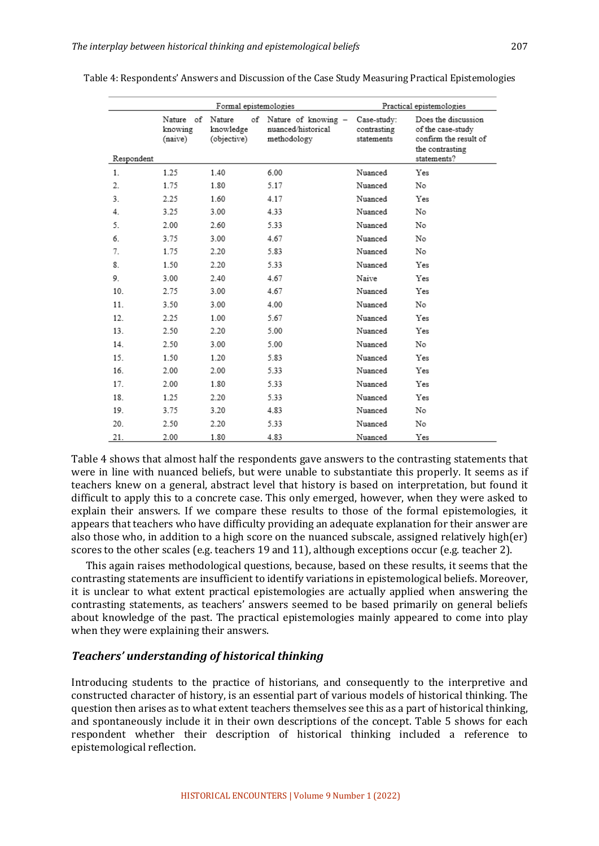|            |                                 | Formal epistemologies                    | Practical epistemologies                                 |                                          |                                                                                                     |
|------------|---------------------------------|------------------------------------------|----------------------------------------------------------|------------------------------------------|-----------------------------------------------------------------------------------------------------|
| Respondent | Nature of<br>knowing<br>(naive) | Nature<br>of<br>knowledge<br>(objective) | Nature of knowing -<br>nuanced/historical<br>methodology | Case-study:<br>contrasting<br>statements | Does the discussion<br>of the case-study<br>confirm the result of<br>the contrasting<br>statements? |
| 1.         | 1.25                            | 1.40                                     | 6.00                                                     | Nuanced                                  | Yes                                                                                                 |
| 2.         | 1.75                            | 1.80                                     | 5.17                                                     | Nuanced                                  | No                                                                                                  |
| 3.         | 2.25                            | 1.60                                     | 4.17                                                     | Nuanced                                  | Yes                                                                                                 |
| 4.         | 3.25                            | 3.00                                     | 4.33                                                     | Nuanced                                  | No                                                                                                  |
| 5.         | 2.00                            | 2.60                                     | 5.33                                                     | Nuanced                                  | No                                                                                                  |
| 6.         | 3.75                            | 3.00                                     | 4.67                                                     | Nuanced                                  | No                                                                                                  |
| 7.         | 1.75                            | 2.20                                     | 5.83                                                     | Nuanced                                  | No                                                                                                  |
| 8.         | 1.50                            | 2.20                                     | 5.33                                                     | Nuanced                                  | Yes                                                                                                 |
| 9.         | 3.00                            | 2.40                                     | 4.67                                                     | Naive                                    | Yes                                                                                                 |
| 10.        | 2.75                            | 3.00                                     | 4.67                                                     | Nuanced                                  | Yes                                                                                                 |
| 11.        | 3.50                            | 3.00                                     | 4.00                                                     | Nuanced                                  | No                                                                                                  |
| 12.        | 2.25                            | 1.00                                     | 5.67                                                     | Nuanced                                  | Yes                                                                                                 |
| 13.        | 2.50                            | 2.20                                     | 5.00                                                     | Nuanced                                  | Yes                                                                                                 |
| 14.        | 2.50                            | 3.00                                     | 5.00                                                     | Nuanced                                  | No                                                                                                  |
| 15.        | 1.50                            | 1.20                                     | 5.83                                                     | Nuanced                                  | Yes                                                                                                 |
| 16.        | 2.00                            | 2.00                                     | 5.33                                                     | Nuanced                                  | Yes                                                                                                 |
| 17.        | 2.00                            | 1.80                                     | 5.33                                                     | Nuanced                                  | Yes                                                                                                 |
| 18.        | 1.25                            | 2.20                                     | 5.33                                                     | Nuanced                                  | Yes                                                                                                 |
| 19.        | 3.75                            | 3.20                                     | 4.83                                                     | Nuanced                                  | No                                                                                                  |
| 20.        | 2.50                            | 2.20                                     | 5.33                                                     | Nuanced                                  | No                                                                                                  |
| 21.        | 2.00                            | 1.80                                     | 4.83                                                     | Nuanced                                  | Yes                                                                                                 |

Table 4: Respondents' Answers and Discussion of the Case Study Measuring Practical Epistemologies

Table 4 shows that almost half the respondents gave answers to the contrasting statements that were in line with nuanced beliefs, but were unable to substantiate this properly. It seems as if teachers knew on a general, abstract level that history is based on interpretation, but found it difficult to apply this to a concrete case. This only emerged, however, when they were asked to explain their answers. If we compare these results to those of the formal epistemologies, it appears that teachers who have difficulty providing an adequate explanation for their answer are also those who, in addition to a high score on the nuanced subscale, assigned relatively high(er) scores to the other scales (e.g. teachers 19 and 11), although exceptions occur (e.g. teacher 2).

This again raises methodological questions, because, based on these results, it seems that the contrasting statements are insufficient to identify variations in epistemological beliefs. Moreover, it is unclear to what extent practical epistemologies are actually applied when answering the contrasting statements, as teachers' answers seemed to be based primarily on general beliefs about knowledge of the past. The practical epistemologies mainly appeared to come into play when they were explaining their answers.

## *Teachers' understanding of historical thinking*

Introducing students to the practice of historians, and consequently to the interpretive and constructed character of history, is an essential part of various models of historical thinking. The question then arises as to what extent teachers themselves see this as a part of historical thinking, and spontaneously include it in their own descriptions of the concept. Table 5 shows for each respondent whether their description of historical thinking included a reference to epistemological reflection.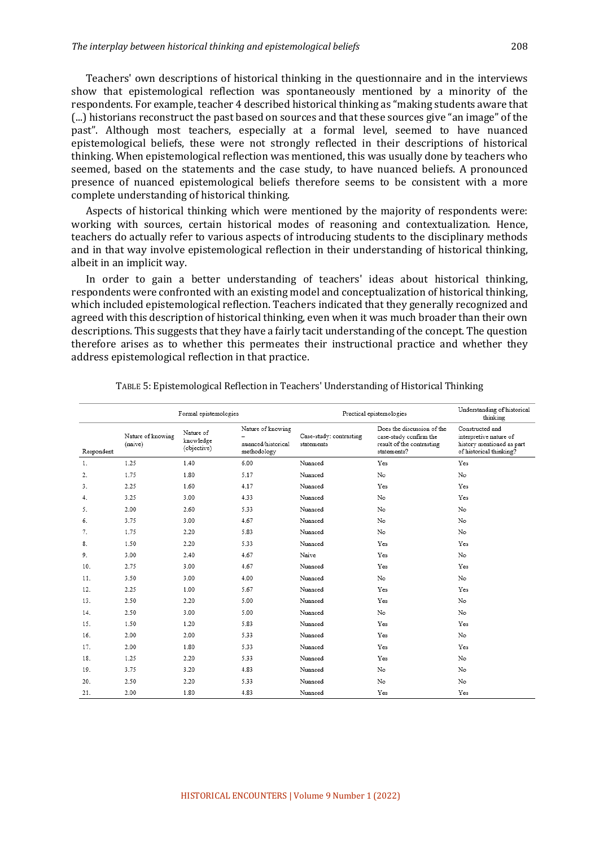Teachers' own descriptions of historical thinking in the questionnaire and in the interviews show that epistemological reflection was spontaneously mentioned by a minority of the respondents. For example, teacher 4 described historical thinking as "making students aware that (...) historians reconstruct the past based on sources and that these sources give "an image" of the past". Although most teachers, especially at a formal level, seemed to have nuanced epistemological beliefs, these were not strongly reflected in their descriptions of historical thinking. When epistemological reflection was mentioned, this was usually done by teachers who seemed, based on the statements and the case study, to have nuanced beliefs. A pronounced presence of nuanced epistemological beliefs therefore seems to be consistent with a more complete understanding of historical thinking.

Aspects of historical thinking which were mentioned by the majority of respondents were: working with sources, certain historical modes of reasoning and contextualization. Hence, teachers do actually refer to various aspects of introducing students to the disciplinary methods and in that way involve epistemological reflection in their understanding of historical thinking, albeit in an implicit way.

In order to gain a better understanding of teachers' ideas about historical thinking, respondents were confronted with an existing model and conceptualization of historical thinking, which included epistemological reflection. Teachers indicated that they generally recognized and agreed with this description of historical thinking, even when it was much broader than their own descriptions. This suggests that they have a fairly tacit understanding of the concept. The question therefore arises as to whether this permeates their instructional practice and whether they address epistemological reflection in that practice.

| Formal epistemologies |                              |                                       |                                                        | Practical epistemologies              |                                                                                                  | Understanding of historical<br>thinking                                                           |
|-----------------------|------------------------------|---------------------------------------|--------------------------------------------------------|---------------------------------------|--------------------------------------------------------------------------------------------------|---------------------------------------------------------------------------------------------------|
| Respondent            | Nature of knowing<br>(naive) | Nature of<br>knowledge<br>(objective) | Nature of knowing<br>nuanced/historical<br>methodology | Case-study: contrasting<br>statements | Does the discussion of the<br>case-study confirm the<br>result of the contrasting<br>statements? | Constructed and<br>interpretive nature of<br>history mentioned as part<br>of historical thinking? |
| 1.                    | 1.25                         | 1.40                                  | 6.00                                                   | Nuanced                               | Yes                                                                                              | Yes                                                                                               |
| 2.                    | 1.75                         | 1.80                                  | 5.17                                                   | Nuanced                               | No                                                                                               | No                                                                                                |
| 3.                    | 2.25                         | 1.60                                  | 4.17                                                   | Nuanced                               | Yes                                                                                              | Yes                                                                                               |
| 4.                    | 3.25                         | 3.00                                  | 4.33                                                   | Nuanced                               | No                                                                                               | Yes                                                                                               |
| 5.                    | 2.00                         | 2.60                                  | 5.33                                                   | Nuanced                               | No                                                                                               | No                                                                                                |
| 6.                    | 3.75                         | 3.00                                  | 4.67                                                   | Nuanced                               | No                                                                                               | No                                                                                                |
| 7.                    | 1.75                         | 2.20                                  | 5.83                                                   | Nuanced                               | No                                                                                               | No                                                                                                |
| 8.                    | 1.50                         | 2.20                                  | 5.33                                                   | Nuanced                               | Yes                                                                                              | Yes                                                                                               |
| 9.                    | 3.00                         | 2.40                                  | 4.67                                                   | Naive                                 | Yes                                                                                              | No                                                                                                |
| 10 <sub>1</sub>       | 2.75                         | 3.00                                  | 4.67                                                   | Nuanced                               | Yes                                                                                              | Yes                                                                                               |
| 11.                   | 3.50                         | 3.00                                  | 4.00                                                   | Nuanced                               | No                                                                                               | No                                                                                                |
| 12.                   | 2.25                         | 1.00                                  | 5.67                                                   | Nuanced                               | Yes                                                                                              | Yes                                                                                               |
| 13.                   | 2.50                         | 2.20                                  | 5.00                                                   | Nuanced                               | Yes                                                                                              | No                                                                                                |
| 14.                   | 2.50                         | 3.00                                  | 5.00                                                   | Nuanced                               | No                                                                                               | No                                                                                                |
| 15.                   | 1.50                         | 1.20                                  | 5.83                                                   | Nuanced                               | Yes                                                                                              | Yes                                                                                               |
| 16.                   | 2.00                         | 2.00                                  | 5.33                                                   | Nuanced                               | Yes                                                                                              | No                                                                                                |
| 17.                   | 2.00                         | 1.80                                  | 5.33                                                   | Nuanced                               | Yes                                                                                              | Yes                                                                                               |
| 18.                   | 1.25                         | 2.20                                  | 5.33                                                   | Nuanced                               | Yes                                                                                              | No                                                                                                |
| 19.                   | 3.75                         | 3.20                                  | 4.83                                                   | Nuanced                               | No                                                                                               | No                                                                                                |
| 20.                   | 2.50                         | 2.20                                  | 5.33                                                   | Nuanced                               | No                                                                                               | No                                                                                                |
| 21.                   | 2.00                         | 1.80                                  | 4.83                                                   | Nuanced                               | Yes                                                                                              | Yes                                                                                               |

TABLE 5: Epistemological Reflection in Teachers' Understanding of Historical Thinking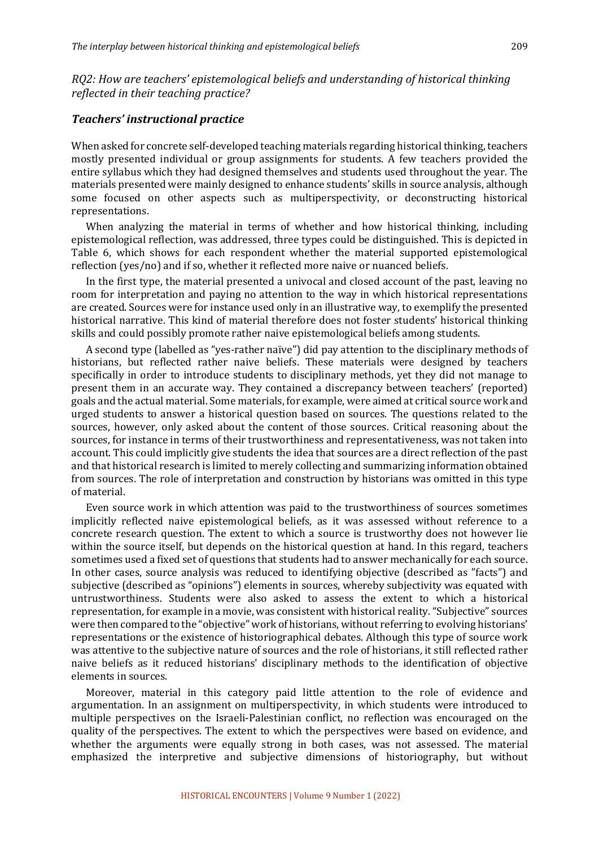*RQ2: How are teachers' epistemological beliefs and understanding of historical thinking* reflected in their teaching practice?

#### *Teachers' instructional practice*

When asked for concrete self-developed teaching materials regarding historical thinking, teachers mostly presented individual or group assignments for students. A few teachers provided the entire syllabus which they had designed themselves and students used throughout the vear. The materials presented were mainly designed to enhance students' skills in source analysis, although some focused on other aspects such as multiperspectivity, or deconstructing historical representations.

When analyzing the material in terms of whether and how historical thinking, including epistemological reflection, was addressed, three types could be distinguished. This is depicted in Table 6, which shows for each respondent whether the material supported epistemological reflection  $(yes/no)$  and if so, whether it reflected more naive or nuanced beliefs.

In the first type, the material presented a univocal and closed account of the past, leaving no room for interpretation and paying no attention to the way in which historical representations are created. Sources were for instance used only in an illustrative way, to exemplify the presented historical narrative. This kind of material therefore does not foster students' historical thinking skills and could possibly promote rather naive epistemological beliefs among students.

A second type (labelled as "yes-rather naïve") did pay attention to the disciplinary methods of historians, but reflected rather naive beliefs. These materials were designed by teachers specifically in order to introduce students to disciplinary methods, yet they did not manage to present them in an accurate way. They contained a discrepancy between teachers' (reported) goals and the actual material. Some materials, for example, were aimed at critical source work and urged students to answer a historical question based on sources. The questions related to the sources, however, only asked about the content of those sources. Critical reasoning about the sources, for instance in terms of their trustworthiness and representativeness, was not taken into account. This could implicitly give students the idea that sources are a direct reflection of the past and that historical research is limited to merely collecting and summarizing information obtained from sources. The role of interpretation and construction by historians was omitted in this type of material.

Even source work in which attention was paid to the trustworthiness of sources sometimes implicitly reflected naive epistemological beliefs, as it was assessed without reference to a concrete research question. The extent to which a source is trustworthy does not however lie within the source itself, but depends on the historical question at hand. In this regard, teachers sometimes used a fixed set of questions that students had to answer mechanically for each source. In other cases, source analysis was reduced to identifying objective (described as "facts") and subjective (described as "opinions") elements in sources, whereby subjectivity was equated with untrustworthiness. Students were also asked to assess the extent to which a historical representation, for example in a movie, was consistent with historical reality. "Subjective" sources were then compared to the "objective" work of historians, without referring to evolving historians' representations or the existence of historiographical debates. Although this type of source work was attentive to the subjective nature of sources and the role of historians, it still reflected rather naive beliefs as it reduced historians' disciplinary methods to the identification of objective elements in sources.

Moreover, material in this category paid little attention to the role of evidence and argumentation. In an assignment on multiperspectivity, in which students were introduced to multiple perspectives on the Israeli-Palestinian conflict, no reflection was encouraged on the quality of the perspectives. The extent to which the perspectives were based on evidence, and whether the arguments were equally strong in both cases, was not assessed. The material emphasized the interpretive and subjective dimensions of historiography, but without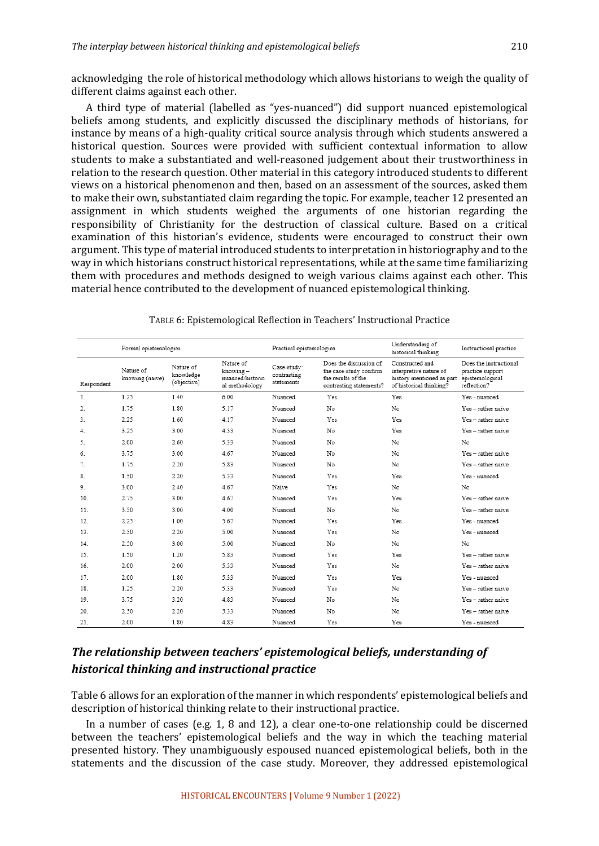acknowledging the role of historical methodology which allows historians to weigh the quality of different claims against each other.

A third type of material (labelled as "yes-nuanced") did support nuanced epistemological beliefs among students, and explicitly discussed the disciplinary methods of historians, for instance by means of a high-quality critical source analysis through which students answered a historical question. Sources were provided with sufficient contextual information to allow students to make a substantiated and well-reasoned judgement about their trustworthiness in relation to the research question. Other material in this category introduced students to different views on a historical phenomenon and then, based on an assessment of the sources, asked them to make their own, substantiated claim regarding the topic. For example, teacher 12 presented an assignment in which students weighed the arguments of one historian regarding the responsibility of Christianity for the destruction of classical culture. Based on a critical examination of this historian's evidence, students were encouraged to construct their own argument. This type of material introduced students to interpretation in historiography and to the way in which historians construct historical representations, while at the same time familiarizing them with procedures and methods designed to weigh various claims against each other. This material hence contributed to the development of nuanced epistemological thinking.

|                | Formal epistemologies        |                                       | Practical epistemologies                                    |                                          | Understanding of<br>historical thinking                                                           | Instructional practice                                                                            |                                                                              |
|----------------|------------------------------|---------------------------------------|-------------------------------------------------------------|------------------------------------------|---------------------------------------------------------------------------------------------------|---------------------------------------------------------------------------------------------------|------------------------------------------------------------------------------|
| Respondent     | Nature of<br>knowing (naive) | Nature of<br>knowledge<br>(objective) | Nature of<br>knowing-<br>nuanced/historic<br>al methodology | Case-study:<br>contrasting<br>statements | Does the discussion of<br>the case-study confirm<br>the results of the<br>contrasting statements? | Constructed and<br>interpretive nature of<br>history mentioned as part<br>of historical thinking? | Does the instructional<br>practice support<br>epistemological<br>reflection? |
| $\mathbf{1}$ . | 1.25                         | 1.40                                  | 6.00                                                        | Nuanced                                  | Yes                                                                                               | Yes                                                                                               | Yes - nuanced                                                                |
| 2.             | 1.75                         | 1.80                                  | 5.17                                                        | Nuanced                                  | No                                                                                                | No                                                                                                | Yes - rather naive                                                           |
| 3.             | 2.25                         | 1.60                                  | 4.17                                                        | Nuanced                                  | Yes                                                                                               | Yes                                                                                               | Yes - rather naive                                                           |
| 4.             | 3.25                         | 3.00                                  | 4.33                                                        | Nuanced                                  | No                                                                                                | Yes                                                                                               | Yes - rather naive                                                           |
| 5.             | 2.00                         | 2.60                                  | 5.33                                                        | Nuanced                                  | No                                                                                                | No                                                                                                | No                                                                           |
| 6.             | 3.75                         | 3.00                                  | 467                                                         | Nuanced                                  | No                                                                                                | No                                                                                                | Yes - rather naive                                                           |
| 7.             | 1.75                         | 2.20                                  | 5.83                                                        | Nuanced                                  | No                                                                                                | No                                                                                                | Yes - rather naive                                                           |
| 8.             | 1.50                         | 2.20                                  | 5.33                                                        | Nuanced                                  | Yes                                                                                               | Yes                                                                                               | Yes - mianced                                                                |
| 9.             | 3.00                         | 2.40                                  | 4.67                                                        | Naive                                    | Yes                                                                                               | No                                                                                                | No                                                                           |
| 10.            | 2.75                         | 3.00                                  | 4.67                                                        | Nuanced                                  | Yes                                                                                               | Yes                                                                                               | Yes - rather naive                                                           |
| 11.            | 3.50                         | 3.00                                  | 4.00                                                        | Nuanced                                  | No                                                                                                | No                                                                                                | Yes - rather naive                                                           |
| 12.            | 2.25                         | 1.00                                  | 5.67                                                        | Nuanced                                  | Yes                                                                                               | Yes                                                                                               | Yes - nuanced                                                                |
| 13.            | 2.50                         | 2.20                                  | 5.00                                                        | Nuanced                                  | Yes                                                                                               | No                                                                                                | Yes - muanced                                                                |
| 14.            | 2.50                         | 3.00                                  | 5.00                                                        | Nuanced                                  | No                                                                                                | No                                                                                                | No                                                                           |
| 15.            | 1.50                         | 1.20                                  | 5.83                                                        | Nuanced                                  | Yes                                                                                               | Yes                                                                                               | Yes - rather naive                                                           |
| 16.            | 2.00                         | 2.00                                  | 5.33                                                        | Nuanced                                  | Yes                                                                                               | No                                                                                                | Yes - rather naive                                                           |
| 17.            | 2.00                         | 1.80                                  | 5.33                                                        | Nuanced                                  | Yes                                                                                               | Yes                                                                                               | Yes - nuanced                                                                |
| 18.            | 1.25                         | 2.20                                  | 5.33                                                        | Nuanced                                  | Yes                                                                                               | No                                                                                                | Yes - rather naive                                                           |
| 19.            | 3.75                         | 3.20                                  | 4.83                                                        | Nuanced                                  | No                                                                                                | No                                                                                                | Yes - rather naive                                                           |
| 20.            | 2.50                         | 2.20                                  | 5.33                                                        | Nuanced                                  | No                                                                                                | No                                                                                                | Yes - rather naive                                                           |
| 21.            | 2.00                         | 1.80                                  | 4.83                                                        | Nuanced                                  | Yes                                                                                               | Yes                                                                                               | Yes - nuanced                                                                |

TABLE 6: Epistemological Reflection in Teachers' Instructional Practice

## The relationship between teachers' epistemological beliefs, understanding of *historical thinking and instructional practice*

Table 6 allows for an exploration of the manner in which respondents' epistemological beliefs and description of historical thinking relate to their instructional practice.

In a number of cases (e.g. 1, 8 and 12), a clear one-to-one relationship could be discerned between the teachers' epistemological beliefs and the way in which the teaching material presented history. They unambiguously espoused nuanced epistemological beliefs, both in the statements and the discussion of the case study. Moreover, they addressed epistemological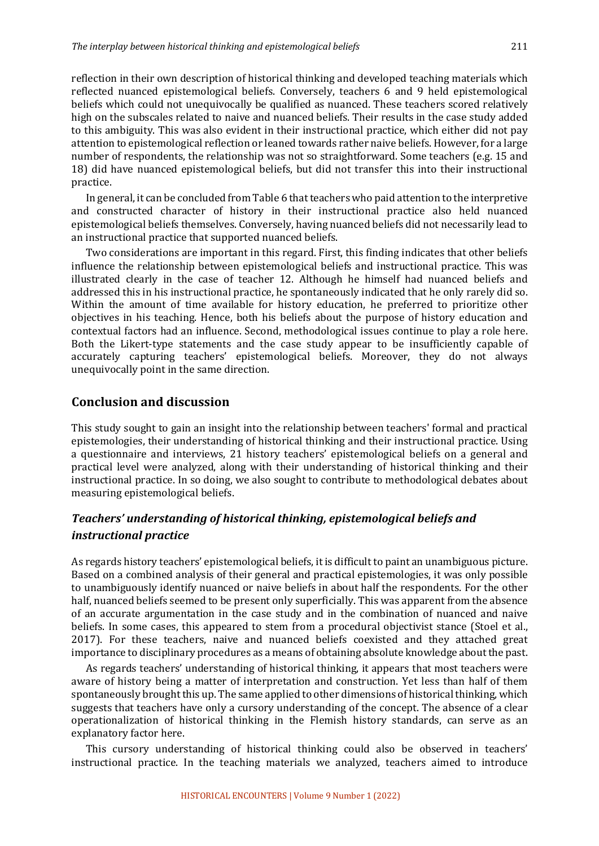reflection in their own description of historical thinking and developed teaching materials which reflected nuanced epistemological beliefs. Conversely, teachers 6 and 9 held epistemological beliefs which could not unequivocally be qualified as nuanced. These teachers scored relatively high on the subscales related to naive and nuanced beliefs. Their results in the case study added to this ambiguity. This was also evident in their instructional practice, which either did not pay attention to epistemological reflection or leaned towards rather naive beliefs. However, for a large number of respondents, the relationship was not so straightforward. Some teachers (e.g. 15 and 18) did have nuanced epistemological beliefs, but did not transfer this into their instructional practice. 

In general, it can be concluded from Table 6 that teachers who paid attention to the interpretive and constructed character of history in their instructional practice also held nuanced epistemological beliefs themselves. Conversely, having nuanced beliefs did not necessarily lead to an instructional practice that supported nuanced beliefs.

Two considerations are important in this regard. First, this finding indicates that other beliefs influence the relationship between epistemological beliefs and instructional practice. This was illustrated clearly in the case of teacher 12. Although he himself had nuanced beliefs and addressed this in his instructional practice, he spontaneously indicated that he only rarely did so. Within the amount of time available for history education, he preferred to prioritize other objectives in his teaching. Hence, both his beliefs about the purpose of history education and contextual factors had an influence. Second, methodological issues continue to play a role here. Both the Likert-type statements and the case study appear to be insufficiently capable of accurately capturing teachers' epistemological beliefs. Moreover, they do not always unequivocally point in the same direction.

## **Conclusion and discussion**

This study sought to gain an insight into the relationship between teachers' formal and practical epistemologies, their understanding of historical thinking and their instructional practice. Using a questionnaire and interviews, 21 history teachers' epistemological beliefs on a general and practical level were analyzed, along with their understanding of historical thinking and their instructional practice. In so doing, we also sought to contribute to methodological debates about measuring epistemological beliefs.

## *Teachers' understanding of historical thinking, epistemological beliefs and instructional practice*

As regards history teachers' epistemological beliefs, it is difficult to paint an unambiguous picture. Based on a combined analysis of their general and practical epistemologies, it was only possible to unambiguously identify nuanced or naive beliefs in about half the respondents. For the other half, nuanced beliefs seemed to be present only superficially. This was apparent from the absence of an accurate argumentation in the case study and in the combination of nuanced and naive beliefs. In some cases, this appeared to stem from a procedural objectivist stance (Stoel et al., 2017). For these teachers, naive and nuanced beliefs coexisted and they attached great importance to disciplinary procedures as a means of obtaining absolute knowledge about the past.

As regards teachers' understanding of historical thinking, it appears that most teachers were aware of history being a matter of interpretation and construction. Yet less than half of them spontaneously brought this up. The same applied to other dimensions of historical thinking, which suggests that teachers have only a cursory understanding of the concept. The absence of a clear operationalization of historical thinking in the Flemish history standards, can serve as an explanatory factor here.

This cursory understanding of historical thinking could also be observed in teachers' instructional practice. In the teaching materials we analyzed, teachers aimed to introduce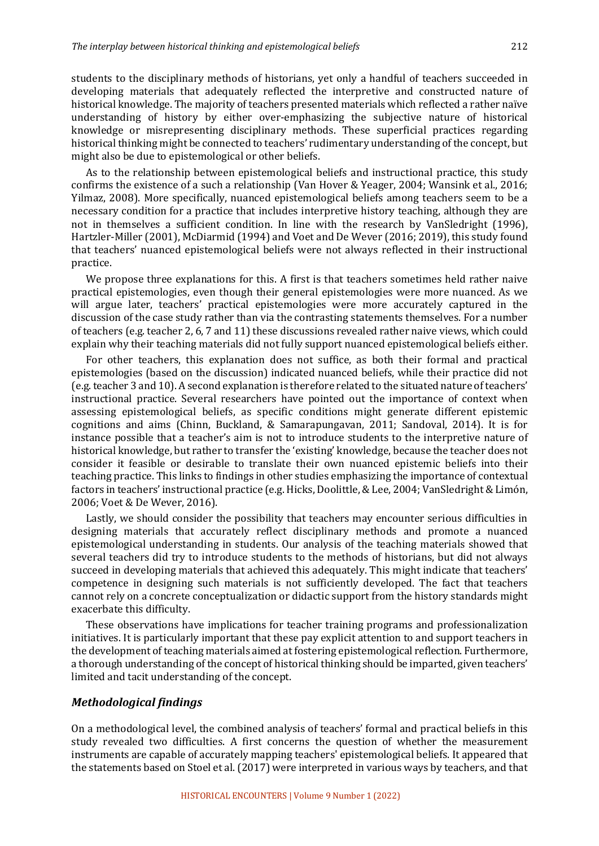students to the disciplinary methods of historians, yet only a handful of teachers succeeded in developing materials that adequately reflected the interpretive and constructed nature of historical knowledge. The majority of teachers presented materials which reflected a rather naïve understanding of history by either over-emphasizing the subjective nature of historical knowledge or misrepresenting disciplinary methods. These superficial practices regarding historical thinking might be connected to teachers' rudimentary understanding of the concept, but might also be due to epistemological or other beliefs.

As to the relationship between epistemological beliefs and instructional practice, this study confirms the existence of a such a relationship (Van Hover & Yeager, 2004; Wansink et al., 2016; Yilmaz, 2008). More specifically, nuanced epistemological beliefs among teachers seem to be a necessary condition for a practice that includes interpretive history teaching, although they are not in themselves a sufficient condition. In line with the research by VanSledright (1996), Hartzler-Miller (2001), McDiarmid (1994) and Voet and De Wever (2016; 2019), this study found that teachers' nuanced epistemological beliefs were not always reflected in their instructional practice. 

We propose three explanations for this. A first is that teachers sometimes held rather naive practical epistemologies, even though their general epistemologies were more nuanced. As we will argue later, teachers' practical epistemologies were more accurately captured in the discussion of the case study rather than via the contrasting statements themselves. For a number of teachers (e.g. teacher 2, 6, 7 and 11) these discussions revealed rather naive views, which could explain why their teaching materials did not fully support nuanced epistemological beliefs either.

For other teachers, this explanation does not suffice, as both their formal and practical epistemologies (based on the discussion) indicated nuanced beliefs, while their practice did not (e.g. teacher 3 and 10). A second explanation is therefore related to the situated nature of teachers' instructional practice. Several researchers have pointed out the importance of context when assessing epistemological beliefs, as specific conditions might generate different epistemic cognitions and aims (Chinn, Buckland, & Samarapungavan, 2011; Sandoval, 2014). It is for instance possible that a teacher's aim is not to introduce students to the interpretive nature of historical knowledge, but rather to transfer the 'existing' knowledge, because the teacher does not consider it feasible or desirable to translate their own nuanced epistemic beliefs into their teaching practice. This links to findings in other studies emphasizing the importance of contextual factors in teachers' instructional practice (e.g. Hicks, Doolittle, & Lee, 2004; VanSledright & Limón, 2006; Voet & De Wever, 2016).

Lastly, we should consider the possibility that teachers may encounter serious difficulties in designing materials that accurately reflect disciplinary methods and promote a nuanced epistemological understanding in students. Our analysis of the teaching materials showed that several teachers did try to introduce students to the methods of historians, but did not always succeed in developing materials that achieved this adequately. This might indicate that teachers' competence in designing such materials is not sufficiently developed. The fact that teachers cannot rely on a concrete conceptualization or didactic support from the history standards might exacerbate this difficulty.

These observations have implications for teacher training programs and professionalization initiatives. It is particularly important that these pay explicit attention to and support teachers in the development of teaching materials aimed at fostering epistemological reflection. Furthermore, a thorough understanding of the concept of historical thinking should be imparted, given teachers' limited and tacit understanding of the concept.

#### *Methodological findings*

On a methodological level, the combined analysis of teachers' formal and practical beliefs in this study revealed two difficulties. A first concerns the question of whether the measurement instruments are capable of accurately mapping teachers' epistemological beliefs. It appeared that the statements based on Stoel et al. (2017) were interpreted in various ways by teachers, and that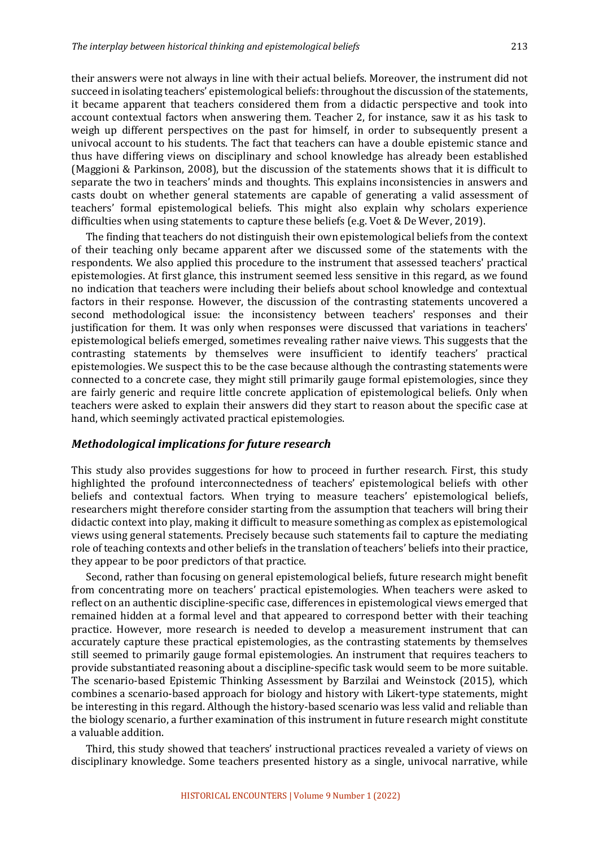their answers were not always in line with their actual beliefs. Moreover, the instrument did not succeed in isolating teachers' epistemological beliefs: throughout the discussion of the statements, it became apparent that teachers considered them from a didactic perspective and took into account contextual factors when answering them. Teacher 2, for instance, saw it as his task to weigh up different perspectives on the past for himself, in order to subsequently present a univocal account to his students. The fact that teachers can have a double epistemic stance and thus have differing views on disciplinary and school knowledge has already been established (Maggioni & Parkinson, 2008), but the discussion of the statements shows that it is difficult to separate the two in teachers' minds and thoughts. This explains inconsistencies in answers and casts doubt on whether general statements are capable of generating a valid assessment of teachers' formal epistemological beliefs. This might also explain why scholars experience difficulties when using statements to capture these beliefs (e.g. Voet & De Wever, 2019).

The finding that teachers do not distinguish their own epistemological beliefs from the context of their teaching only became apparent after we discussed some of the statements with the respondents. We also applied this procedure to the instrument that assessed teachers' practical epistemologies. At first glance, this instrument seemed less sensitive in this regard, as we found no indication that teachers were including their beliefs about school knowledge and contextual factors in their response. However, the discussion of the contrasting statements uncovered a second methodological issue: the inconsistency between teachers' responses and their justification for them. It was only when responses were discussed that variations in teachers' epistemological beliefs emerged, sometimes revealing rather naive views. This suggests that the contrasting statements by themselves were insufficient to identify teachers' practical epistemologies. We suspect this to be the case because although the contrasting statements were connected to a concrete case, they might still primarily gauge formal epistemologies, since they are fairly generic and require little concrete application of epistemological beliefs. Only when teachers were asked to explain their answers did they start to reason about the specific case at hand, which seemingly activated practical epistemologies.

#### *Methodological implications for future research*

This study also provides suggestions for how to proceed in further research. First, this study highlighted the profound interconnectedness of teachers' epistemological beliefs with other beliefs and contextual factors. When trying to measure teachers' epistemological beliefs, researchers might therefore consider starting from the assumption that teachers will bring their didactic context into play, making it difficult to measure something as complex as epistemological views using general statements. Precisely because such statements fail to capture the mediating role of teaching contexts and other beliefs in the translation of teachers' beliefs into their practice, they appear to be poor predictors of that practice.

Second, rather than focusing on general epistemological beliefs, future research might benefit from concentrating more on teachers' practical epistemologies. When teachers were asked to reflect on an authentic discipline-specific case, differences in epistemological views emerged that remained hidden at a formal level and that appeared to correspond better with their teaching practice. However, more research is needed to develop a measurement instrument that can accurately capture these practical epistemologies, as the contrasting statements by themselves still seemed to primarily gauge formal epistemologies. An instrument that requires teachers to provide substantiated reasoning about a discipline-specific task would seem to be more suitable. The scenario-based Epistemic Thinking Assessment by Barzilai and Weinstock (2015), which combines a scenario-based approach for biology and history with Likert-type statements, might be interesting in this regard. Although the history-based scenario was less valid and reliable than the biology scenario, a further examination of this instrument in future research might constitute a valuable addition.

Third, this study showed that teachers' instructional practices revealed a variety of views on disciplinary knowledge. Some teachers presented history as a single, univocal narrative, while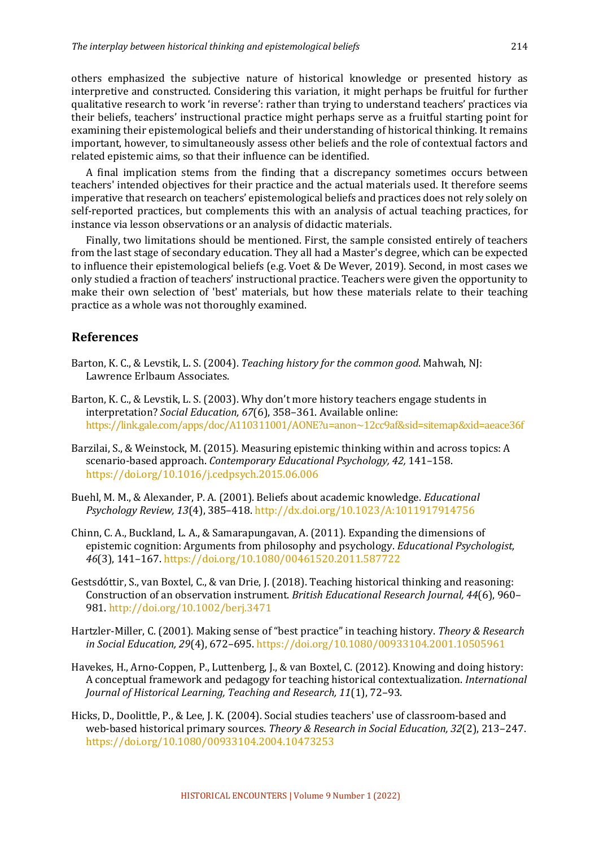others emphasized the subjective nature of historical knowledge or presented history as interpretive and constructed. Considering this variation, it might perhaps be fruitful for further qualitative research to work 'in reverse': rather than trying to understand teachers' practices via their beliefs, teachers' instructional practice might perhaps serve as a fruitful starting point for examining their epistemological beliefs and their understanding of historical thinking. It remains important, however, to simultaneously assess other beliefs and the role of contextual factors and related epistemic aims, so that their influence can be identified.

A final implication stems from the finding that a discrepancy sometimes occurs between teachers' intended objectives for their practice and the actual materials used. It therefore seems imperative that research on teachers' epistemological beliefs and practices does not rely solely on self-reported practices, but complements this with an analysis of actual teaching practices, for instance via lesson observations or an analysis of didactic materials.

Finally, two limitations should be mentioned. First, the sample consisted entirely of teachers from the last stage of secondary education. They all had a Master's degree, which can be expected to influence their epistemological beliefs (e.g. Voet & De Wever, 2019). Second, in most cases we only studied a fraction of teachers' instructional practice. Teachers were given the opportunity to make their own selection of 'best' materials, but how these materials relate to their teaching practice as a whole was not thoroughly examined.

## **References**

- Barton, K. C., & Levstik, L. S. (2004). *Teaching history for the common good*. Mahwah, NJ: Lawrence Erlbaum Associates.
- Barton, K. C., & Levstik, L. S. (2003). Why don't more history teachers engage students in interpretation? *Social Education, 67*(6), 358-361. Available online: https://link.gale.com/apps/doc/A110311001/AONE?u=anon~12cc9af&sid=sitemap&xid=aeace36f
- Barzilai, S., & Weinstock, M. (2015). Measuring epistemic thinking within and across topics: A scenario-based approach. *Contemporary Educational Psychology, 42,* 141–158. https://doi.org/10.1016/j.cedpsych.2015.06.006
- Buehl, M. M., & Alexander, P. A. (2001). Beliefs about academic knowledge. *Educational Psychology Review, 13*(4), 385–418. http://dx.doi.org/10.1023/A:1011917914756
- Chinn, C. A., Buckland, L. A., & Samarapungavan, A. (2011). Expanding the dimensions of epistemic cognition: Arguments from philosophy and psychology. *Educational Psychologist*, *46*(3), 141–167. https://doi.org/10.1080/00461520.2011.587722
- Gestsdóttir, S., van Boxtel, C., & van Drie, J. (2018). Teaching historical thinking and reasoning: Construction of an observation instrument. *British Educational Research Journal, 44*(6), 960-981. http://doi.org/10.1002/berj.3471
- Hartzler-Miller, C. (2001). Making sense of "best practice" in teaching history. *Theory & Research in Social Education, 29*(4), 672-695. https://doi.org/10.1080/00933104.2001.10505961
- Havekes, H., Arno-Coppen, P., Luttenberg, J., & van Boxtel, C. (2012). Knowing and doing history: A conceptual framework and pedagogy for teaching historical contextualization. *International Journal of Historical Learning, Teaching and Research, 11*(1), 72-93.
- Hicks, D., Doolittle, P., & Lee, J. K. (2004). Social studies teachers' use of classroom-based and web-based historical primary sources. *Theory & Research in Social Education, 32*(2), 213–247. https://doi.org/10.1080/00933104.2004.10473253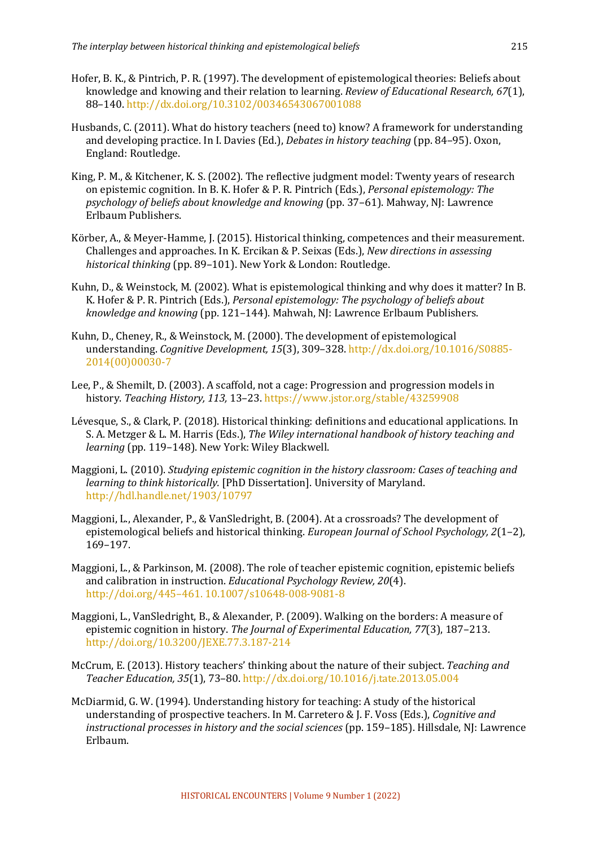- Hofer, B. K., & Pintrich, P. R. (1997). The development of epistemological theories: Beliefs about knowledge and knowing and their relation to learning. *Review of Educational Research, 67*(1), 88–140. http://dx.doi.org/10.3102/00346543067001088
- Husbands, C. (2011). What do history teachers (need to) know? A framework for understanding and developing practice. In I. Davies (Ed.), *Debates in history teaching* (pp. 84–95), Oxon, England: Routledge.
- King, P. M., & Kitchener, K. S. (2002). The reflective judgment model: Twenty years of research on epistemic cognition. In B. K. Hofer & P. R. Pintrich (Eds.), *Personal epistemology: The psychology of beliefs about knowledge and knowing* (pp. 37–61). Mahway, NJ: Lawrence Erlbaum Publishers.
- Körber, A., & Meyer-Hamme, J. (2015). Historical thinking, competences and their measurement. Challenges and approaches. In K. Ercikan & P. Seixas (Eds.), *New directions in assessing historical thinking* (pp. 89–101). New York & London: Routledge.
- Kuhn, D., & Weinstock, M. (2002). What is epistemological thinking and why does it matter? In B. K. Hofer & P. R. Pintrich (Eds.), *Personal epistemology: The psychology of beliefs about knowledge and knowing* (pp. 121–144). Mahwah, NJ: Lawrence Erlbaum Publishers.
- Kuhn, D., Cheney, R., & Weinstock, M. (2000). The development of epistemological understanding. *Cognitive Development.* 15(3), 309–328. http://dx.doi.org/10.1016/S0885-2014(00)00030-7
- Lee, P., & Shemilt, D. (2003). A scaffold, not a cage: Progression and progression models in history. Teaching History, 113, 13-23. https://www.jstor.org/stable/43259908
- Lévesque, S., & Clark, P. (2018). Historical thinking: definitions and educational applications. In S. A. Metzger & L. M. Harris (Eds.), *The Wiley international handbook of history teaching and learning* (pp. 119–148). New York: Wiley Blackwell.
- Maggioni, L. (2010). *Studying epistemic cognition in the history classroom: Cases of teaching and learning to think historically.* [PhD Dissertation]. University of Maryland. http://hdl.handle.net/1903/10797
- Maggioni, L., Alexander, P., & VanSledright, B. (2004). At a crossroads? The development of epistemological beliefs and historical thinking. *European Journal of School Psychology, 2*(1-2), 169–197.
- Maggioni, L., & Parkinson, M. (2008). The role of teacher epistemic cognition, epistemic beliefs and calibration in instruction. *Educational Psychology Review, 20*(4). http://doi.org/445-461.10.1007/s10648-008-9081-8
- Maggioni, L., VanSledright, B., & Alexander, P. (2009). Walking on the borders: A measure of epistemic cognition in history. *The Journal of Experimental Education, 77*(3), 187-213. http://doi.org/10.3200/JEXE.77.3.187-214
- McCrum, E. (2013). History teachers' thinking about the nature of their subject. *Teaching and Teacher Education, 35*(1), 73–80. http://dx.doi.org/10.1016/j.tate.2013.05.004
- McDiarmid, G. W. (1994). Understanding history for teaching: A study of the historical understanding of prospective teachers. In M. Carretero & J. F. Voss (Eds.), *Cognitive and instructional processes in history and the social sciences* (pp. 159–185). Hillsdale, NJ: Lawrence Erlbaum.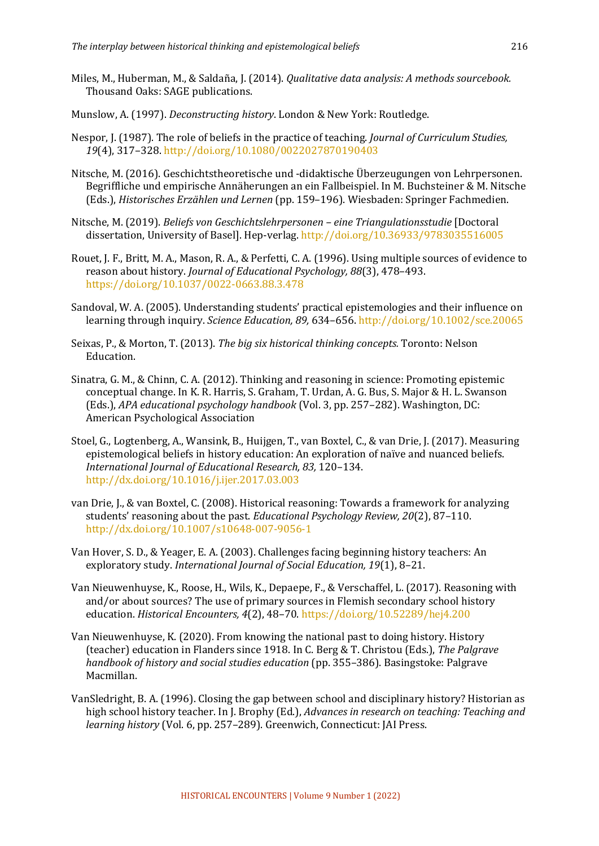- Miles, M., Huberman, M., & Saldaña, J. (2014). *Qualitative data analysis: A methods sourcebook.* Thousand Oaks: SAGE publications.
- Munslow, A. (1997). *Deconstructing history*. London & New York: Routledge.
- Nespor, J. (1987). The role of beliefs in the practice of teaching. *Journal of Curriculum Studies*, *19*(4), 317–328. http://doi.org/10.1080/0022027870190403
- Nitsche, M. (2016). Geschichtstheoretische und -didaktische Überzeugungen von Lehrpersonen. Begriffliche und empirische Annäherungen an ein Fallbeispiel. In M. Buchsteiner & M. Nitsche (Eds.), *Historisches Erzählen und Lernen* (pp. 159–196). Wiesbaden: Springer Fachmedien.
- Nitsche, M. (2019). *Beliefs von Geschichtslehrpersonen eine Triangulationsstudie* [Doctoral dissertation, University of Basel]. Hep-verlag. http://doi.org/10.36933/9783035516005
- Rouet, J. F., Britt, M. A., Mason, R. A., & Perfetti, C. A. (1996). Using multiple sources of evidence to reason about history. *Journal of Educational Psychology*, 88(3), 478-493. https://doi.org/10.1037/0022-0663.88.3.478
- Sandoval, W. A. (2005). Understanding students' practical epistemologies and their influence on learning through inquiry. *Science Education, 89, 634–656.* http://doi.org/10.1002/sce.20065
- Seixas, P., & Morton, T. (2013). *The big six historical thinking concepts*. Toronto: Nelson Education.
- Sinatra, G. M., & Chinn, C. A. (2012). Thinking and reasoning in science: Promoting epistemic conceptual change. In K. R. Harris, S. Graham, T. Urdan, A. G. Bus, S. Major & H. L. Swanson (Eds.), *APA educational psychology handbook* (Vol. 3, pp. 257–282). Washington, DC: American Psychological Association
- Stoel, G., Logtenberg, A., Wansink, B., Huijgen, T., van Boxtel, C., & van Drie, J. (2017). Measuring epistemological beliefs in history education: An exploration of naïve and nuanced beliefs. *International Journal of Educational Research, 83,* 120–134. http://dx.doi.org/10.1016/j.ijer.2017.03.003
- van Drie, J., & van Boxtel, C. (2008). Historical reasoning: Towards a framework for analyzing students' reasoning about the past. *Educational Psychology Review, 20*(2), 87–110. http://dx.doi.org/10.1007/s10648-007-9056-1
- Van Hover, S. D., & Yeager, E. A. (2003). Challenges facing beginning history teachers: An exploratory study. *International Journal of Social Education*, 19(1), 8-21.
- Van Nieuwenhuyse, K., Roose, H., Wils, K., Depaepe, F., & Verschaffel, L. (2017). Reasoning with and/or about sources? The use of primary sources in Flemish secondary school history education. *Historical Encounters, 4*(2), 48-70. https://doi.org/10.52289/hej4.200
- Van Nieuwenhuyse, K. (2020). From knowing the national past to doing history. History (teacher) education in Flanders since 1918. In C. Berg & T. Christou (Eds.), *The Palgrave handbook of history and social studies education* (pp. 355–386). Basingstoke: Palgrave Macmillan.
- VanSledright, B. A. (1996). Closing the gap between school and disciplinary history? Historian as high school history teacher. In J. Brophy (Ed.), *Advances in research on teaching: Teaching and learning history* (Vol. 6, pp. 257-289). Greenwich, Connecticut: JAI Press.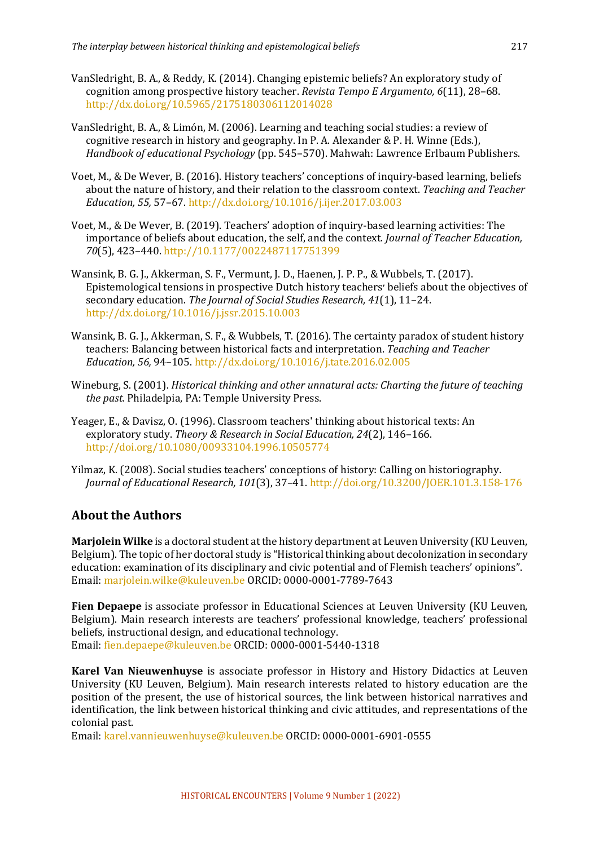- VanSledright, B. A., & Reddy, K. (2014). Changing epistemic beliefs? An exploratory study of cognition among prospective history teacher. *Revista Tempo E Argumento*, 6(11), 28–68. http://dx.doi.org/10.5965/2175180306112014028
- VanSledright, B. A., & Limón, M. (2006). Learning and teaching social studies: a review of cognitive research in history and geography. In P. A. Alexander & P. H. Winne (Eds.), *Handbook of educational Psychology* (pp. 545–570). Mahwah: Lawrence Erlbaum Publishers.
- Voet, M., & De Wever, B. (2016). History teachers' conceptions of inquiry-based learning, beliefs about the nature of history, and their relation to the classroom context. *Teaching and Teacher Education, 55,* 57–67. http://dx.doi.org/10.1016/j.ijer.2017.03.003
- Voet, M., & De Wever, B. (2019). Teachers' adoption of inquiry-based learning activities: The importance of beliefs about education, the self, and the context. *Journal of Teacher Education*, 70(5), 423-440. http://10.1177/0022487117751399
- Wansink, B. G. J., Akkerman, S. F., Vermunt, J. D., Haenen, J. P. P., & Wubbels, T. (2017). Epistemological tensions in prospective Dutch history teachers' beliefs about the objectives of secondary education. The Journal of Social Studies Research, 41(1), 11-24. http://dx.doi.org/10.1016/j.jssr.2015.10.003
- Wansink, B. G. J., Akkerman, S. F., & Wubbels, T. (2016). The certainty paradox of student history teachers: Balancing between historical facts and interpretation. *Teaching and Teacher Education, 56,* 94–105. http://dx.doi.org/10.1016/j.tate.2016.02.005
- Wineburg, S. (2001). *Historical thinking and other unnatural acts: Charting the future of teaching the past.* Philadelpia, PA: Temple University Press.
- Yeager, E., & Davisz, O. (1996). Classroom teachers' thinking about historical texts: An exploratory study. *Theory & Research in Social Education, 24*(2), 146-166. http://doi.org/10.1080/00933104.1996.10505774
- Yilmaz, K. (2008). Social studies teachers' conceptions of history: Calling on historiography. *Journal of Educational Research, 101*(3), 37–41. http://doi.org/10.3200/JOER.101.3.158-176

## **About the Authors**

**Marjolein Wilke** is a doctoral student at the history department at Leuven University (KU Leuven, Belgium). The topic of her doctoral study is "Historical thinking about decolonization in secondary education: examination of its disciplinary and civic potential and of Flemish teachers' opinions". Email: marjolein.wilke@kuleuven.be ORCID: 0000-0001-7789-7643

**Fien Depaepe** is associate professor in Educational Sciences at Leuven University (KU Leuven, Belgium). Main research interests are teachers' professional knowledge, teachers' professional beliefs, instructional design, and educational technology. Email: fien.depaepe@kuleuven.be ORCID: 0000-0001-5440-1318

**Karel Van Nieuwenhuyse** is associate professor in History and History Didactics at Leuven University (KU Leuven, Belgium). Main research interests related to history education are the position of the present, the use of historical sources, the link between historical narratives and identification, the link between historical thinking and civic attitudes, and representations of the colonial past.

Email: karel.vannieuwenhuyse@kuleuven.be ORCID: 0000-0001-6901-0555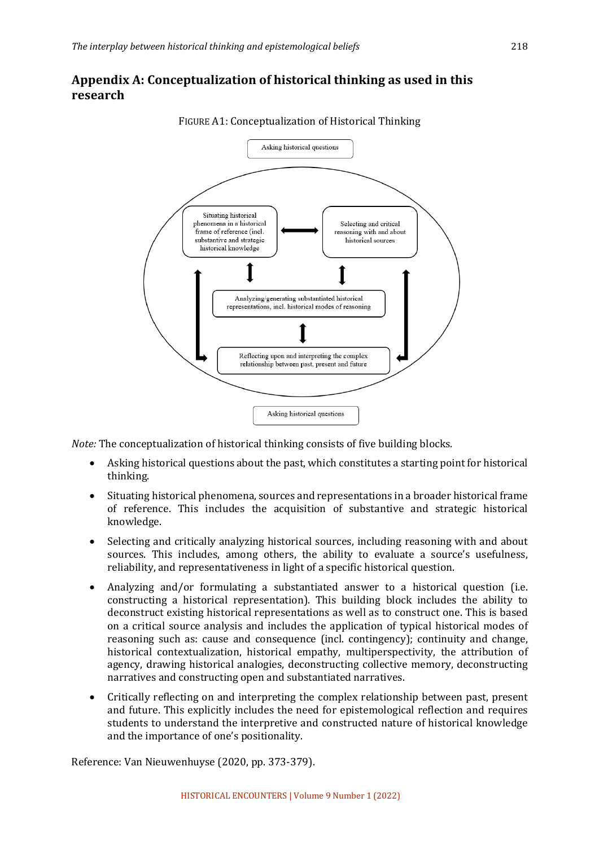## Appendix A: Conceptualization of historical thinking as used in this **research**



FIGURE A1: Conceptualization of Historical Thinking

*Note:* The conceptualization of historical thinking consists of five building blocks.

- Asking historical questions about the past, which constitutes a starting point for historical thinking.
- Situating historical phenomena, sources and representations in a broader historical frame of reference. This includes the acquisition of substantive and strategic historical knowledge.
- Selecting and critically analyzing historical sources, including reasoning with and about sources. This includes, among others, the ability to evaluate a source's usefulness, reliability, and representativeness in light of a specific historical question.
- Analyzing and/or formulating a substantiated answer to a historical question (i.e. constructing a historical representation). This building block includes the ability to deconstruct existing historical representations as well as to construct one. This is based on a critical source analysis and includes the application of typical historical modes of reasoning such as: cause and consequence (incl. contingency); continuity and change, historical contextualization, historical empathy, multiperspectivity, the attribution of agency, drawing historical analogies, deconstructing collective memory, deconstructing narratives and constructing open and substantiated narratives.
- Critically reflecting on and interpreting the complex relationship between past, present and future. This explicitly includes the need for epistemological reflection and requires students to understand the interpretive and constructed nature of historical knowledge and the importance of one's positionality.

Reference: Van Nieuwenhuyse (2020, pp. 373-379).